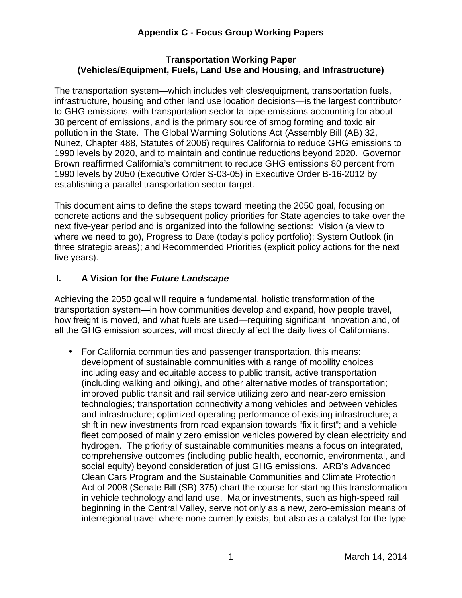#### **Transportation Working Paper (Vehicles/Equipment, Fuels, Land Use and Housing, and Infrastructure)**

 The transportation system—which includes vehicles/equipment, transportation fuels, infrastructure, housing and other land use location decisions—is the largest contributor to GHG emissions, with transportation sector tailpipe emissions accounting for about 38 percent of emissions, and is the primary source of smog forming and toxic air pollution in the State. The Global Warming Solutions Act (Assembly Bill (AB) 32, Nunez, Chapter 488, Statutes of 2006) requires California to reduce GHG emissions to 1990 levels by 2020, and to maintain and continue reductions beyond 2020. Governor Brown reaffirmed California's commitment to reduce GHG emissions 80 percent from 1990 levels by 2050 (Executive Order S-03-05) in Executive Order B-16-2012 by establishing a parallel transportation sector target.

 This document aims to define the steps toward meeting the 2050 goal, focusing on concrete actions and the subsequent policy priorities for State agencies to take over the next five-year period and is organized into the following sections: Vision (a view to where we need to go), Progress to Date (today's policy portfolio); System Outlook (in three strategic areas); and Recommended Priorities (explicit policy actions for the next five years).

#### **I. A Vision for the Future Landscape**

 Achieving the 2050 goal will require a fundamental, holistic transformation of the transportation system—in how communities develop and expand, how people travel, how freight is moved, and what fuels are used—requiring significant innovation and, of all the GHG emission sources, will most directly affect the daily lives of Californians.

 • For California communities and passenger transportation, this means: development of sustainable communities with a range of mobility choices including easy and equitable access to public transit, active transportation (including walking and biking), and other alternative modes of transportation; improved public transit and rail service utilizing zero and near-zero emission technologies; transportation connectivity among vehicles and between vehicles and infrastructure; optimized operating performance of existing infrastructure; a shift in new investments from road expansion towards "fix it first"; and a vehicle fleet composed of mainly zero emission vehicles powered by clean electricity and hydrogen. The priority of sustainable communities means a focus on integrated, comprehensive outcomes (including public health, economic, environmental, and social equity) beyond consideration of just GHG emissions. ARB's Advanced Clean Cars Program and the Sustainable Communities and Climate Protection Act of 2008 (Senate Bill (SB) 375) chart the course for starting this transformation in vehicle technology and land use. Major investments, such as high-speed rail beginning in the Central Valley, serve not only as a new, zero-emission means of interregional travel where none currently exists, but also as a catalyst for the type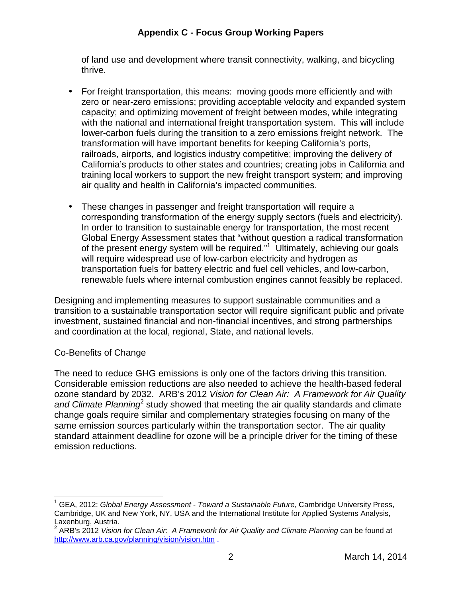of land use and development where transit connectivity, walking, and bicycling thrive.

- • For freight transportation, this means: moving goods more efficiently and with zero or near-zero emissions; providing acceptable velocity and expanded system capacity; and optimizing movement of freight between modes, while integrating with the national and international freight transportation system. This will include lower-carbon fuels during the transition to a zero emissions freight network. The transformation will have important benefits for keeping California's ports, railroads, airports, and logistics industry competitive; improving the delivery of California's products to other states and countries; creating jobs in California and training local workers to support the new freight transport system; and improving air quality and health in California's impacted communities.
- $\bullet$  corresponding transformation of the energy supply sectors (fuels and electricity). In order to transition to sustainable energy for transportation, the most recent Global Energy Assessment states that "without question a radical transformation of the present energy system will be required."<sup>1</sup> Ultimately, achieving our goals will require widespread use of low-carbon electricity and hydrogen as transportation fuels for battery electric and fuel cell vehicles, and low-carbon, renewable fuels where internal combustion engines cannot feasibly be replaced. • These changes in passenger and freight transportation will require a

 Designing and implementing measures to support sustainable communities and a transition to a sustainable transportation sector will require significant public and private investment, sustained financial and non-financial incentives, and strong partnerships and coordination at the local, regional, State, and national levels.

#### Co-Benefits of Change

1

 The need to reduce GHG emissions is only one of the factors driving this transition. Considerable emission reductions are also needed to achieve the health-based federal ozone standard by 2032. ARB's 2012 Vision for Clean Air: A Framework for Air Quality and Climate Planning<sup>2</sup> study showed that meeting the air quality standards and climate change goals require similar and complementary strategies focusing on many of the same emission sources particularly within the transportation sector. The air quality standard attainment deadline for ozone will be a principle driver for the timing of these emission reductions.

<sup>&</sup>lt;sup>1</sup> GEA, 2012: Global Energy Assessment - Toward a Sustainable Future, Cambridge University Press, Cambridge, UK and New York, NY, USA and the International Institute for Applied Systems Analysis, Laxenburg, Austria.

<http://www.arb.ca.gov/planning/vision/vision.htm>.  $2^{2}$  ARB's 2012 Vision for Clean Air: A Framework for Air Quality and Climate Planning can be found at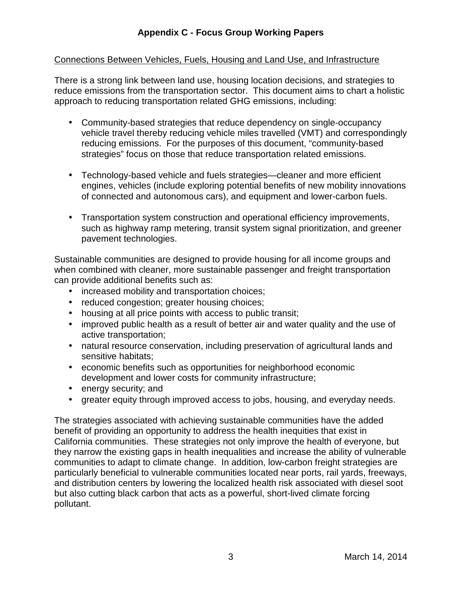## Connections Between Vehicles, Fuels, Housing and Land Use, and Infrastructure

 There is a strong link between land use, housing location decisions, and strategies to reduce emissions from the transportation sector. This document aims to chart a holistic approach to reducing transportation related GHG emissions, including:

- • Community-based strategies that reduce dependency on single-occupancy vehicle travel thereby reducing vehicle miles travelled (VMT) and correspondingly reducing emissions. For the purposes of this document, "community-based strategies" focus on those that reduce transportation related emissions.
- • Technology-based vehicle and fuels strategies—cleaner and more efficient engines, vehicles (include exploring potential benefits of new mobility innovations of connected and autonomous cars), and equipment and lower-carbon fuels.
- • Transportation system construction and operational efficiency improvements, such as highway ramp metering, transit system signal prioritization, and greener pavement technologies.

 Sustainable communities are designed to provide housing for all income groups and when combined with cleaner, more sustainable passenger and freight transportation can provide additional benefits such as:

- increased mobility and transportation choices;
- reduced congestion; greater housing choices;
- housing at all price points with access to public transit;
- • improved public health as a result of better air and water quality and the use of active transportation;
- • natural resource conservation, including preservation of agricultural lands and sensitive habitats;
- • economic benefits such as opportunities for neighborhood economic development and lower costs for community infrastructure;
- energy security; and
- $\bullet$ • greater equity through improved access to jobs, housing, and everyday needs.

 The strategies associated with achieving sustainable communities have the added benefit of providing an opportunity to address the health inequities that exist in California communities. These strategies not only improve the health of everyone, but they narrow the existing gaps in health inequalities and increase the ability of vulnerable communities to adapt to climate change. In addition, low-carbon freight strategies are particularly beneficial to vulnerable communities located near ports, rail yards, freeways, and distribution centers by lowering the localized health risk associated with diesel soot but also cutting black carbon that acts as a powerful, short-lived climate forcing pollutant. pollutant.<br>
3 March 14, 2014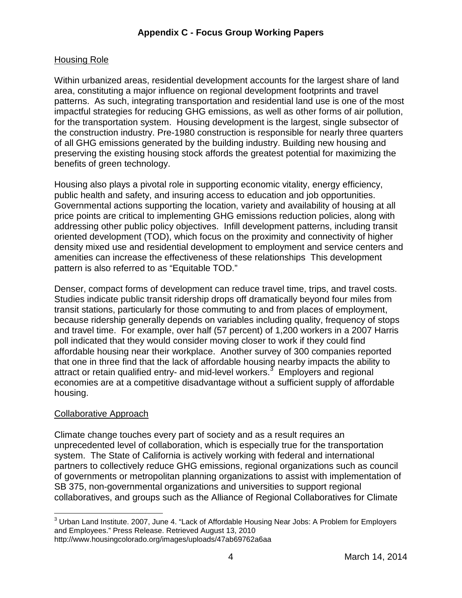# Housing Role

 Within urbanized areas, residential development accounts for the largest share of land area, constituting a major influence on regional development footprints and travel patterns. As such, integrating transportation and residential land use is one of the most impactful strategies for reducing GHG emissions, as well as other forms of air pollution, for the transportation system. Housing development is the largest, single subsector of the construction industry. Pre-1980 construction is responsible for nearly three quarters of all GHG emissions generated by the building industry. Building new housing and preserving the existing housing stock affords the greatest potential for maximizing the benefits of green technology.

 Housing also plays a pivotal role in supporting economic vitality, energy efficiency, public health and safety, and insuring access to education and job opportunities. Governmental actions supporting the location, variety and availability of housing at all price points are critical to implementing GHG emissions reduction policies, along with addressing other public policy objectives. Infill development patterns, including transit oriented development (TOD), which focus on the proximity and connectivity of higher density mixed use and residential development to employment and service centers and amenities can increase the effectiveness of these relationships This development pattern is also referred to as "Equitable TOD."

 Denser, compact forms of development can reduce travel time, trips, and travel costs. Studies indicate public transit ridership drops off dramatically beyond four miles from transit stations, particularly for those commuting to and from places of employment, because ridership generally depends on variables including quality, frequency of stops and travel time. For example, over half (57 percent) of 1,200 workers in a 2007 Harris poll indicated that they would consider moving closer to work if they could find affordable housing near their workplace. Another survey of 300 companies reported that one in three find that the lack of affordable housing nearby impacts the ability to attract or retain qualified entry- and mid-level workers.<sup>3</sup> Employers and regional economies are at a competitive disadvantage without a sufficient supply of affordable housing.

## Collaborative Approach

 Climate change touches every part of society and as a result requires an unprecedented level of collaboration, which is especially true for the transportation system. The State of California is actively working with federal and international partners to collectively reduce GHG emissions, regional organizations such as council of governments or metropolitan planning organizations to assist with implementation of SB 375, non-governmental organizations and universities to support regional collaboratives, and groups such as the Alliance of Regional Collaboratives for Climate

 $\overline{a}$  $^3$  Urban Land Institute. 2007, June 4. "Lack of Affordable Housing Near Jobs: A Problem for Employers and Employees." Press Release. Retrieved August 13, 2010 <http://www.housingcolorado.org/images/uploads/47ab69762a6aa>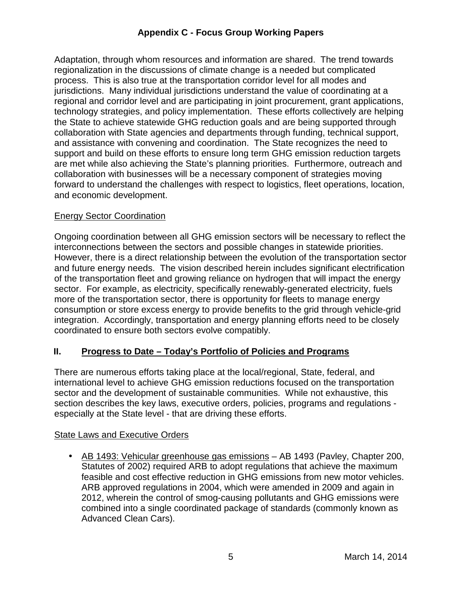Adaptation, through whom resources and information are shared. The trend towards regionalization in the discussions of climate change is a needed but complicated process. This is also true at the transportation corridor level for all modes and jurisdictions. Many individual jurisdictions understand the value of coordinating at a regional and corridor level and are participating in joint procurement, grant applications, technology strategies, and policy implementation. These efforts collectively are helping the State to achieve statewide GHG reduction goals and are being supported through collaboration with State agencies and departments through funding, technical support, and assistance with convening and coordination. The State recognizes the need to support and build on these efforts to ensure long term GHG emission reduction targets are met while also achieving the State's planning priorities. Furthermore, outreach and collaboration with businesses will be a necessary component of strategies moving forward to understand the challenges with respect to logistics, fleet operations, location, and economic development.

#### **Energy Sector Coordination**

 Ongoing coordination between all GHG emission sectors will be necessary to reflect the interconnections between the sectors and possible changes in statewide priorities. However, there is a direct relationship between the evolution of the transportation sector and future energy needs. The vision described herein includes significant electrification of the transportation fleet and growing reliance on hydrogen that will impact the energy sector. For example, as electricity, specifically renewably-generated electricity, fuels more of the transportation sector, there is opportunity for fleets to manage energy consumption or store excess energy to provide benefits to the grid through vehicle-grid integration. Accordingly, transportation and energy planning efforts need to be closely coordinated to ensure both sectors evolve compatibly.

## **II. Progress to Date – Today's Portfolio of Policies and Programs**

 There are numerous efforts taking place at the local/regional, State, federal, and international level to achieve GHG emission reductions focused on the transportation sector and the development of sustainable communities. While not exhaustive, this section describes the key laws, executive orders, policies, programs and regulations - especially at the State level - that are driving these efforts.

#### **State Laws and Executive Orders**

• AB 1493: Vehicular greenhouse gas emissions - AB 1493 (Pavley, Chapter 200, Statutes of 2002) required ARB to adopt regulations that achieve the maximum feasible and cost effective reduction in GHG emissions from new motor vehicles. ARB approved regulations in 2004, which were amended in 2009 and again in 2012, wherein the control of smog-causing pollutants and GHG emissions were combined into a single coordinated package of standards (commonly known as Advanced Clean Cars).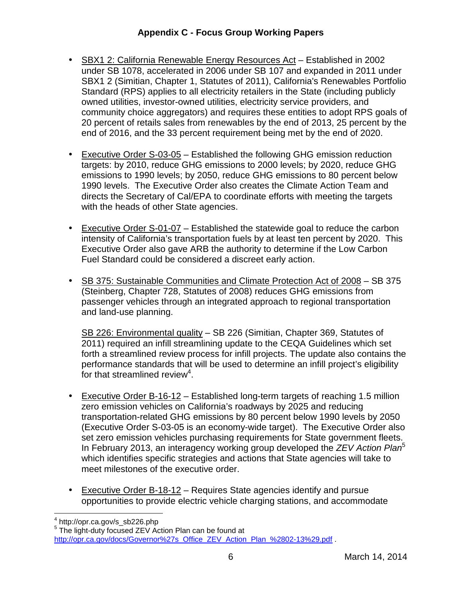- SBX1 2: California Renewable Energy Resources Act Established in 2002 under SB 1078, accelerated in 2006 under SB 107 and expanded in 2011 under SBX1 2 (Simitian, Chapter 1, Statutes of 2011), California's Renewables Portfolio Standard (RPS) applies to all electricity retailers in the State (including publicly owned utilities, investor-owned utilities, electricity service providers, and community choice aggregators) and requires these entities to adopt RPS goals of 20 percent of retails sales from renewables by the end of 2013, 25 percent by the end of 2016, and the 33 percent requirement being met by the end of 2020.
- Executive Order S-03-05 Established the following GHG emission reduction targets: by 2010, reduce GHG emissions to 2000 levels; by 2020, reduce GHG emissions to 1990 levels; by 2050, reduce GHG emissions to 80 percent below 1990 levels. The Executive Order also creates the Climate Action Team and directs the Secretary of Cal/EPA to coordinate efforts with meeting the targets with the heads of other State agencies.
- Executive Order S-01-07 Established the statewide goal to reduce the carbon intensity of California's transportation fuels by at least ten percent by 2020. This Executive Order also gave ARB the authority to determine if the Low Carbon Fuel Standard could be considered a discreet early action.
- SB 375: Sustainable Communities and Climate Protection Act of 2008 SB 375 (Steinberg, Chapter 728, Statutes of 2008) reduces GHG emissions from passenger vehicles through an integrated approach to regional transportation and land-use planning.

SB 226: Environmental quality - SB 226 (Simitian, Chapter 369, Statutes of 2011) required an infill streamlining update to the CEQA Guidelines which set forth a streamlined review process for infill projects. The update also contains the performance standards that will be used to determine an infill project's eligibility for that streamlined review<sup>4</sup>.

- Executive Order B-16-12 Established long-term targets of reaching 1.5 million zero emission vehicles on California's roadways by 2025 and reducing transportation-related GHG emissions by 80 percent below 1990 levels by 2050 (Executive Order S-03-05 is an economy-wide target). The Executive Order also set zero emission vehicles purchasing requirements for State government fleets. In February 2013, an interagency working group developed the  $ZEV$  Action Plan<sup>5</sup> which identifies specific strategies and actions that State agencies will take to meet milestones of the executive order.
- Executive Order B-18-12 Requires State agencies identify and pursue opportunities to provide electric vehicle charging stations, and accommodate

1

<sup>&</sup>lt;sup>4</sup> [http://opr.ca.gov/s\\_sb226.php](http://opr.ca.gov/s_sb226.php)<br><sup>5</sup> The light-duty focused ZEV Action Plan can be found at [http://opr.ca.gov/docs/Governor%27s\\_Office\\_ZEV\\_Action\\_Plan\\_%2802-13%29.pdf](http://opr.ca.gov/docs/Governor%27s_Office_ZEV_Action_Plan_%2802-13%29.pdf) .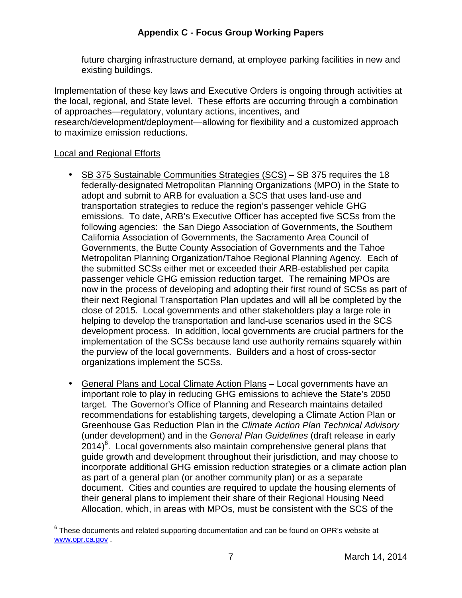future charging infrastructure demand, at employee parking facilities in new and existing buildings.

 Implementation of these key laws and Executive Orders is ongoing through activities at the local, regional, and State level. These efforts are occurring through a combination of approaches—regulatory, voluntary actions, incentives, and research/development/deployment—allowing for flexibility and a customized approach to maximize emission reductions.

#### **Local and Regional Efforts**

1

- SB 375 Sustainable Communities Strategies (SCS) SB 375 requires the 18 federally-designated Metropolitan Planning Organizations (MPO) in the State to adopt and submit to ARB for evaluation a SCS that uses land-use and transportation strategies to reduce the region's passenger vehicle GHG emissions. To date, ARB's Executive Officer has accepted five SCSs from the following agencies: the San Diego Association of Governments, the Southern California Association of Governments, the Sacramento Area Council of Governments, the Butte County Association of Governments and the Tahoe Metropolitan Planning Organization/Tahoe Regional Planning Agency. Each of the submitted SCSs either met or exceeded their ARB-established per capita passenger vehicle GHG emission reduction target. The remaining MPOs are now in the process of developing and adopting their first round of SCSs as part of their next Regional Transportation Plan updates and will all be completed by the close of 2015. Local governments and other stakeholders play a large role in helping to develop the transportation and land-use scenarios used in the SCS development process. In addition, local governments are crucial partners for the implementation of the SCSs because land use authority remains squarely within the purview of the local governments. Builders and a host of cross-sector organizations implement the SCSs.
- General Plans and Local Climate Action Plans Local governments have an important role to play in reducing GHG emissions to achieve the State's 2050 target. The Governor's Office of Planning and Research maintains detailed recommendations for establishing targets, developing a Climate Action Plan or Greenhouse Gas Reduction Plan in the Climate Action Plan Technical Advisory (under development) and in the General Plan Guidelines (draft release in early  $2014)$ <sup>6</sup>. Local governments also maintain comprehensive general plans that guide growth and development throughout their jurisdiction, and may choose to incorporate additional GHG emission reduction strategies or a climate action plan as part of a general plan (or another community plan) or as a separate document. Cities and counties are required to update the housing elements of their general plans to implement their share of their Regional Housing Need Allocation, which, in areas with MPOs, must be consistent with the SCS of the

 $6$  These documents and related supporting documentation and can be found on OPR's website at <www.opr.ca.gov> .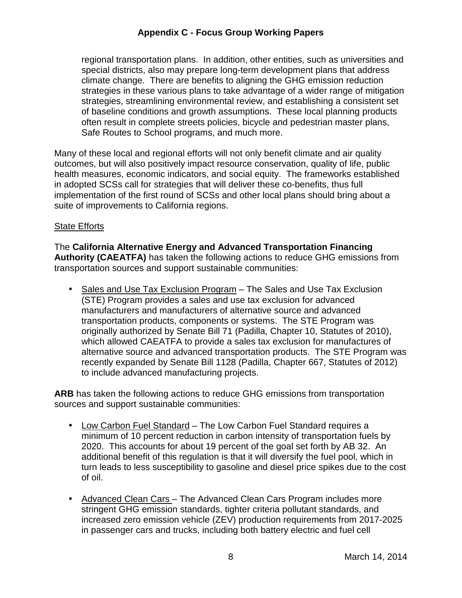regional transportation plans. In addition, other entities, such as universities and special districts, also may prepare long-term development plans that address climate change. There are benefits to aligning the GHG emission reduction strategies in these various plans to take advantage of a wider range of mitigation strategies, streamlining environmental review, and establishing a consistent set of baseline conditions and growth assumptions. These local planning products often result in complete streets policies, bicycle and pedestrian master plans, Safe Routes to School programs, and much more.

 Many of these local and regional efforts will not only benefit climate and air quality outcomes, but will also positively impact resource conservation, quality of life, public health measures, economic indicators, and social equity. The frameworks established in adopted SCSs call for strategies that will deliver these co-benefits, thus full implementation of the first round of SCSs and other local plans should bring about a suite of improvements to California regions.

#### **State Efforts**

 The **California Alternative Energy and Advanced Transportation Financing Authority (CAEATFA)** has taken the following actions to reduce GHG emissions from transportation sources and support sustainable communities:

• Sales and Use Tax Exclusion Program – The Sales and Use Tax Exclusion (STE) Program provides a sales and use tax exclusion for advanced manufacturers and manufacturers of alternative source and advanced transportation products, components or systems. The STE Program was originally authorized by Senate Bill 71 (Padilla, Chapter 10, Statutes of 2010), which allowed CAEATFA to provide a sales tax exclusion for manufactures of alternative source and advanced transportation products. The STE Program was recently expanded by Senate Bill 1128 (Padilla, Chapter 667, Statutes of 2012) to include advanced manufacturing projects.

 **ARB** has taken the following actions to reduce GHG emissions from transportation sources and support sustainable communities:

- Low Carbon Fuel Standard The Low Carbon Fuel Standard requires a minimum of 10 percent reduction in carbon intensity of transportation fuels by 2020. This accounts for about 19 percent of the goal set forth by AB 32. An additional benefit of this regulation is that it will diversify the fuel pool, which in turn leads to less susceptibility to gasoline and diesel price spikes due to the cost of oil.
- Advanced Clean Cars The Advanced Clean Cars Program includes more stringent GHG emission standards, tighter criteria pollutant standards, and increased zero emission vehicle (ZEV) production requirements from 2017-2025 in passenger cars and trucks, including both battery electric and fuel cell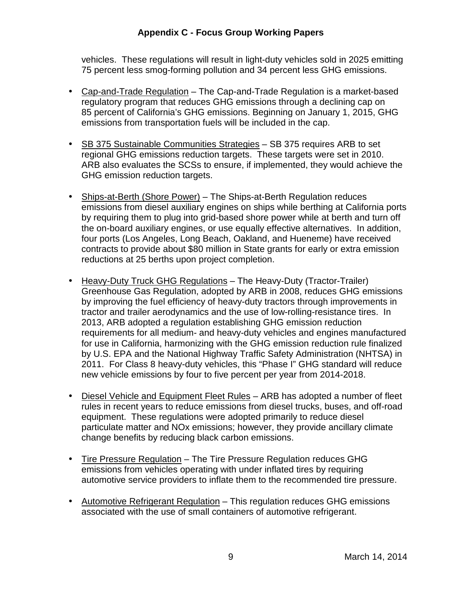vehicles. These regulations will result in light-duty vehicles sold in 2025 emitting 75 percent less smog-forming pollution and 34 percent less GHG emissions.

- Cap-and-Trade Regulation The Cap-and-Trade Regulation is a market-based regulatory program that reduces GHG emissions through a declining cap on 85 percent of California's GHG emissions. Beginning on January 1, 2015, GHG emissions from transportation fuels will be included in the cap.
- SB 375 Sustainable Communities Strategies SB 375 requires ARB to set regional GHG emissions reduction targets. These targets were set in 2010. ARB also evaluates the SCSs to ensure, if implemented, they would achieve the GHG emission reduction targets.
- Ships-at-Berth (Shore Power) The Ships-at-Berth Regulation reduces emissions from diesel auxiliary engines on ships while berthing at California ports by requiring them to plug into grid-based shore power while at berth and turn off the on-board auxiliary engines, or use equally effective alternatives. In addition, four ports (Los Angeles, Long Beach, Oakland, and Hueneme) have received contracts to provide about \$80 million in State grants for early or extra emission reductions at 25 berths upon project completion.
- Heavy-Duty Truck GHG Regulations The Heavy-Duty (Tractor-Trailer) Greenhouse Gas Regulation, adopted by ARB in 2008, reduces GHG emissions by improving the fuel efficiency of heavy-duty tractors through improvements in tractor and trailer aerodynamics and the use of low-rolling-resistance tires. In 2013, ARB adopted a regulation establishing GHG emission reduction requirements for all medium- and heavy-duty vehicles and engines manufactured for use in California, harmonizing with the GHG emission reduction rule finalized by U.S. EPA and the National Highway Traffic Safety Administration (NHTSA) in 2011. For Class 8 heavy-duty vehicles, this "Phase I" GHG standard will reduce new vehicle emissions by four to five percent per year from 2014-2018.
- Diesel Vehicle and Equipment Fleet Rules ARB has adopted a number of fleet rules in recent years to reduce emissions from diesel trucks, buses, and off-road equipment. These regulations were adopted primarily to reduce diesel particulate matter and NOx emissions; however, they provide ancillary climate change benefits by reducing black carbon emissions.
- $\bullet$  emissions from vehicles operating with under inflated tires by requiring automotive service providers to inflate them to the recommended tire pressure. • Tire Pressure Regulation – The Tire Pressure Regulation reduces GHG
- Automotive Refrigerant Regulation This regulation reduces GHG emissions associated with the use of small containers of automotive refrigerant.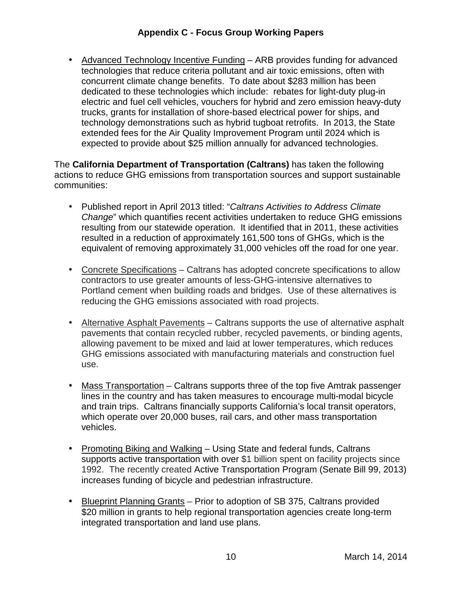• Advanced Technology Incentive Funding - ARB provides funding for advanced technologies that reduce criteria pollutant and air toxic emissions, often with concurrent climate change benefits. To date about \$283 million has been dedicated to these technologies which include: rebates for light-duty plug-in electric and fuel cell vehicles, vouchers for hybrid and zero emission heavy-duty trucks, grants for installation of shore-based electrical power for ships, and technology demonstrations such as hybrid tugboat retrofits. In 2013, the State extended fees for the Air Quality Improvement Program until 2024 which is expected to provide about \$25 million annually for advanced technologies.

 The **California Department of Transportation (Caltrans)** has taken the following actions to reduce GHG emissions from transportation sources and support sustainable communities:

- Published report in April 2013 titled: "Caltrans Activities to Address Climate Change" which quantifies recent activities undertaken to reduce GHG emissions resulting from our statewide operation. It identified that in 2011, these activities resulted in a reduction of approximately 161,500 tons of GHGs, which is the equivalent of removing approximately 31,000 vehicles off the road for one year.
- Concrete Specifications Caltrans has adopted concrete specifications to allow contractors to use greater amounts of less-GHG-intensive alternatives to Portland cement when building roads and bridges. Use of these alternatives is reducing the GHG emissions associated with road projects.
- Alternative Asphalt Pavements Caltrans supports the use of alternative asphalt pavements that contain recycled rubber, recycled pavements, or binding agents, allowing pavement to be mixed and laid at lower temperatures, which reduces GHG emissions associated with manufacturing materials and construction fuel use.
- Mass Transportation Caltrans supports three of the top five Amtrak passenger lines in the country and has taken measures to encourage multi-modal bicycle and train trips. Caltrans financially supports California's local transit operators, which operate over 20,000 buses, rail cars, and other mass transportation vehicles.
- Promoting Biking and Walking Using State and federal funds, Caltrans supports active transportation with over \$1 billion spent on facility projects since 1992. The recently created Active Transportation Program (Senate Bill 99, 2013) increases funding of bicycle and pedestrian infrastructure.
- Blueprint Planning Grants Prior to adoption of SB 375, Caltrans provided \$20 million in grants to help regional transportation agencies create long-term integrated transportation and land use plans.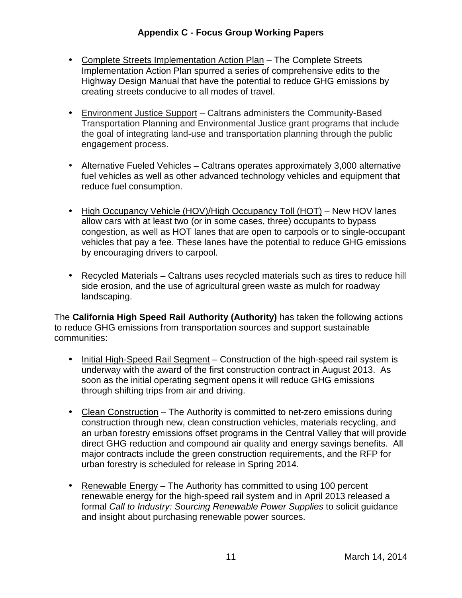- Complete Streets Implementation Action Plan The Complete Streets Implementation Action Plan spurred a series of comprehensive edits to the Highway Design Manual that have the potential to reduce GHG emissions by creating streets conducive to all modes of travel.
- Environment Justice Support Caltrans administers the Community-Based Transportation Planning and Environmental Justice grant programs that include the goal of integrating land-use and transportation planning through the public engagement process.
- Alternative Fueled Vehicles Caltrans operates approximately 3,000 alternative fuel vehicles as well as other advanced technology vehicles and equipment that reduce fuel consumption.
- High Occupancy Vehicle (HOV)/High Occupancy Toll (HOT) New HOV lanes allow cars with at least two (or in some cases, three) occupants to bypass congestion, as well as HOT lanes that are open to carpools or to single-occupant vehicles that pay a fee. These lanes have the potential to reduce GHG emissions by encouraging drivers to carpool.
- Recycled Materials Caltrans uses recycled materials such as tires to reduce hill side erosion, and the use of agricultural green waste as mulch for roadway landscaping.

 The **California High Speed Rail Authority (Authority)** has taken the following actions to reduce GHG emissions from transportation sources and support sustainable communities:

- Initial High-Speed Rail Segment Construction of the high-speed rail system is underway with the award of the first construction contract in August 2013. As soon as the initial operating segment opens it will reduce GHG emissions through shifting trips from air and driving.
- Clean Construction The Authority is committed to net-zero emissions during construction through new, clean construction vehicles, materials recycling, and an urban forestry emissions offset programs in the Central Valley that will provide direct GHG reduction and compound air quality and energy savings benefits. All major contracts include the green construction requirements, and the RFP for urban forestry is scheduled for release in Spring 2014.
- Renewable Energy The Authority has committed to using 100 percent renewable energy for the high-speed rail system and in April 2013 released a formal Call to Industry: Sourcing Renewable Power Supplies to solicit guidance and insight about purchasing renewable power sources.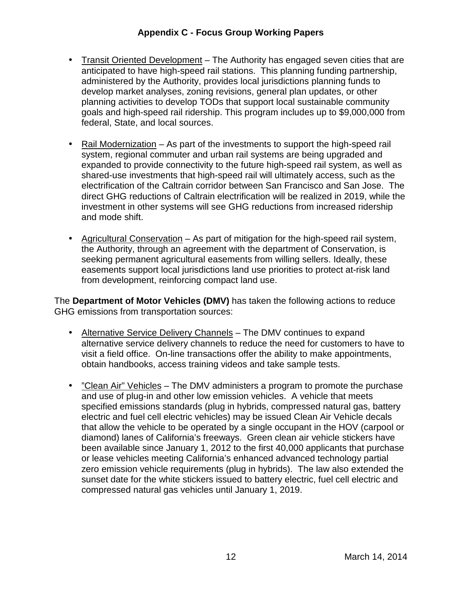- anticipated to have high-speed rail stations. This planning funding partnership, administered by the Authority, provides local jurisdictions planning funds to develop market analyses, zoning revisions, general plan updates, or other planning activities to develop TODs that support local sustainable community goals and high-speed rail ridership. This program includes up to \$9,000,000 from federal, State, and local sources. • Transit Oriented Development – The Authority has engaged seven cities that are
- Rail Modernization As part of the investments to support the high-speed rail system, regional commuter and urban rail systems are being upgraded and expanded to provide connectivity to the future high-speed rail system, as well as shared-use investments that high-speed rail will ultimately access, such as the electrification of the Caltrain corridor between San Francisco and San Jose. The direct GHG reductions of Caltrain electrification will be realized in 2019, while the investment in other systems will see GHG reductions from increased ridership and mode shift.
- Agricultural Conservation As part of mitigation for the high-speed rail system, the Authority, through an agreement with the department of Conservation, is seeking permanent agricultural easements from willing sellers. Ideally, these easements support local jurisdictions land use priorities to protect at-risk land from development, reinforcing compact land use.

 The **Department of Motor Vehicles (DMV)** has taken the following actions to reduce GHG emissions from transportation sources:

- Alternative Service Delivery Channels The DMV continues to expand alternative service delivery channels to reduce the need for customers to have to visit a field office. On-line transactions offer the ability to make appointments, obtain handbooks, access training videos and take sample tests.
- *"Clean Air" Vehicles* The DMV administers a program to promote the purchase and use of plug-in and other low emission vehicles. A vehicle that meets specified emissions standards (plug in hybrids, compressed natural gas, battery electric and fuel cell electric vehicles) may be issued Clean Air Vehicle decals that allow the vehicle to be operated by a single occupant in the HOV (carpool or diamond) lanes of California's freeways. Green clean air vehicle stickers have been available since January 1, 2012 to the first 40,000 applicants that purchase or lease vehicles meeting California's enhanced advanced technology partial zero emission vehicle requirements (plug in hybrids). The law also extended the sunset date for the white stickers issued to battery electric, fuel cell electric and compressed natural gas vehicles until January 1, 2019.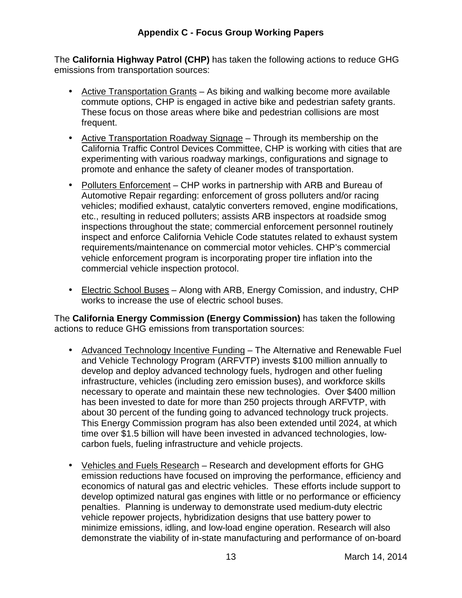The **California Highway Patrol (CHP)** has taken the following actions to reduce GHG emissions from transportation sources:

- Active Transportation Grants As biking and walking become more available commute options, CHP is engaged in active bike and pedestrian safety grants. These focus on those areas where bike and pedestrian collisions are most frequent.
- Active Transportation Roadway Signage Through its membership on the California Traffic Control Devices Committee, CHP is working with cities that are experimenting with various roadway markings, configurations and signage to promote and enhance the safety of cleaner modes of transportation.
- Polluters Enforcement CHP works in partnership with ARB and Bureau of Automotive Repair regarding: enforcement of gross polluters and/or racing vehicles; modified exhaust, catalytic converters removed, engine modifications, etc., resulting in reduced polluters; assists ARB inspectors at roadside smog inspections throughout the state; commercial enforcement personnel routinely inspect and enforce California Vehicle Code statutes related to exhaust system requirements/maintenance on commercial motor vehicles. CHP's commercial vehicle enforcement program is incorporating proper tire inflation into the commercial vehicle inspection protocol.
- Electric School Buses Along with ARB, Energy Comission, and industry, CHP works to increase the use of electric school buses.

 The **California Energy Commission (Energy Commission)** has taken the following actions to reduce GHG emissions from transportation sources:

- Advanced Technology Incentive Funding The Alternative and Renewable Fuel and Vehicle Technology Program (ARFVTP) invests \$100 million annually to develop and deploy advanced technology fuels, hydrogen and other fueling infrastructure, vehicles (including zero emission buses), and workforce skills necessary to operate and maintain these new technologies. Over \$400 million has been invested to date for more than 250 projects through ARFVTP, with about 30 percent of the funding going to advanced technology truck projects. This Energy Commission program has also been extended until 2024, at which time over \$1.5 billion will have been invested in advanced technologies, low-carbon fuels, fueling infrastructure and vehicle projects.
- Vehicles and Fuels Research Research and development efforts for GHG emission reductions have focused on improving the performance, efficiency and economics of natural gas and electric vehicles. These efforts include support to develop optimized natural gas engines with little or no performance or efficiency penalties. Planning is underway to demonstrate used medium-duty electric vehicle repower projects, hybridization designs that use battery power to minimize emissions, idling, and low-load engine operation. Research will also demonstrate the viability of in-state manufacturing and performance of on-board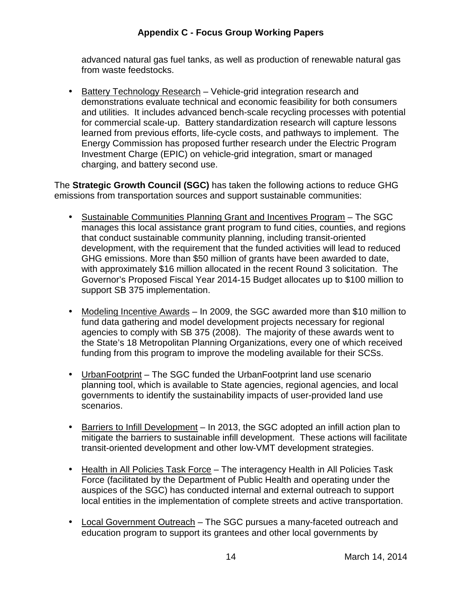advanced natural gas fuel tanks, as well as production of renewable natural gas from waste feedstocks.

• Battery Technology Research - Vehicle-grid integration research and demonstrations evaluate technical and economic feasibility for both consumers and utilities. It includes advanced bench-scale recycling processes with potential for commercial scale-up. Battery standardization research will capture lessons learned from previous efforts, life-cycle costs, and pathways to implement. The Energy Commission has proposed further research under the Electric Program Investment Charge (EPIC) on vehicle-grid integration, smart or managed charging, and battery second use.

 The **Strategic Growth Council (SGC)** has taken the following actions to reduce GHG emissions from transportation sources and support sustainable communities:

- Sustainable Communities Planning Grant and Incentives Program The SGC manages this local assistance grant program to fund cities, counties, and regions that conduct sustainable community planning, including transit-oriented development, with the requirement that the funded activities will lead to reduced GHG emissions. More than \$50 million of grants have been awarded to date, with approximately \$16 million allocated in the recent Round 3 solicitation. The Governor's Proposed Fiscal Year 2014-15 Budget allocates up to \$100 million to support SB 375 implementation.
- Modeling Incentive Awards In 2009, the SGC awarded more than \$10 million to fund data gathering and model development projects necessary for regional agencies to comply with SB 375 (2008). The majority of these awards went to the State's 18 Metropolitan Planning Organizations, every one of which received funding from this program to improve the modeling available for their SCSs.
- UrbanFootprint The SGC funded the UrbanFootprint land use scenario planning tool, which is available to State agencies, regional agencies, and local governments to identify the sustainability impacts of user-provided land use scenarios.
- Barriers to Infill Development In 2013, the SGC adopted an infill action plan to mitigate the barriers to sustainable infill development. These actions will facilitate transit-oriented development and other low-VMT development strategies.
- Health in All Policies Task Force The interagency Health in All Policies Task Force (facilitated by the Department of Public Health and operating under the auspices of the SGC) has conducted internal and external outreach to support local entities in the implementation of complete streets and active transportation.
- Local Government Outreach The SGC pursues a many-faceted outreach and education program to support its grantees and other local governments by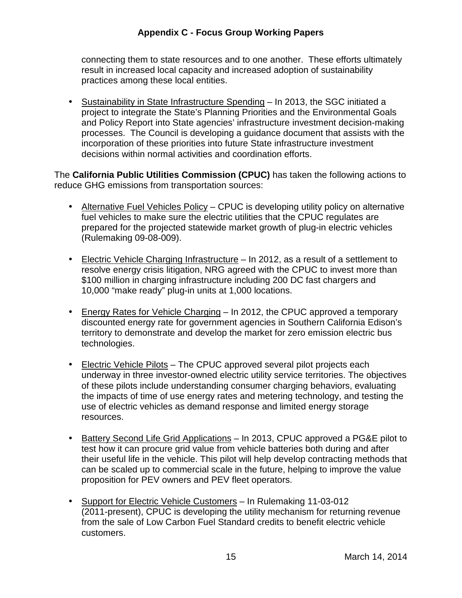connecting them to state resources and to one another. These efforts ultimately result in increased local capacity and increased adoption of sustainability practices among these local entities.

• Sustainability in State Infrastructure Spending - In 2013, the SGC initiated a project to integrate the State's Planning Priorities and the Environmental Goals and Policy Report into State agencies' infrastructure investment decision-making processes. The Council is developing a guidance document that assists with the incorporation of these priorities into future State infrastructure investment decisions within normal activities and coordination efforts.

 The **California Public Utilities Commission (CPUC)** has taken the following actions to reduce GHG emissions from transportation sources:

- Alternative Fuel Vehicles Policy CPUC is developing utility policy on alternative fuel vehicles to make sure the electric utilities that the CPUC regulates are prepared for the projected statewide market growth of plug-in electric vehicles (Rulemaking 09-08-009).
- Electric Vehicle Charging Infrastructure In 2012, as a result of a settlement to resolve energy crisis litigation, NRG agreed with the CPUC to invest more than \$100 million in charging infrastructure including 200 DC fast chargers and 10,000 "make ready" plug-in units at 1,000 locations.
- Energy Rates for Vehicle Charging In 2012, the CPUC approved a temporary discounted energy rate for government agencies in Southern California Edison's territory to demonstrate and develop the market for zero emission electric bus technologies.
- Electric Vehicle Pilots The CPUC approved several pilot projects each underway in three investor-owned electric utility service territories. The objectives of these pilots include understanding consumer charging behaviors, evaluating the impacts of time of use energy rates and metering technology, and testing the use of electric vehicles as demand response and limited energy storage resources.
- Battery Second Life Grid Applications In 2013, CPUC approved a PG&E pilot to test how it can procure grid value from vehicle batteries both during and after their useful life in the vehicle. This pilot will help develop contracting methods that can be scaled up to commercial scale in the future, helping to improve the value proposition for PEV owners and PEV fleet operators.
- Support for Electric Vehicle Customers In Rulemaking 11-03-012 (2011-present), CPUC is developing the utility mechanism for returning revenue from the sale of Low Carbon Fuel Standard credits to benefit electric vehicle customers.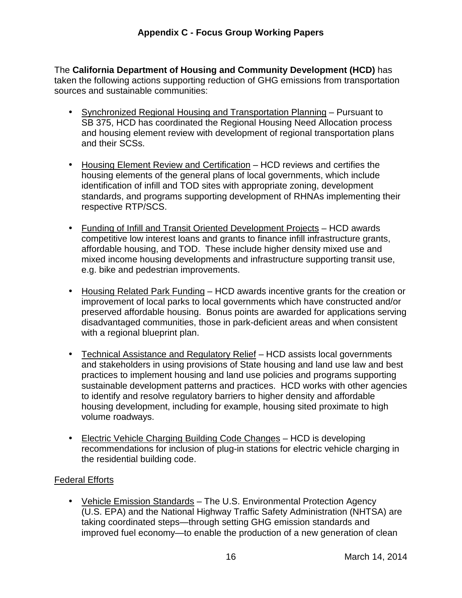The **California Department of Housing and Community Development (HCD)** has taken the following actions supporting reduction of GHG emissions from transportation sources and sustainable communities:

- Synchronized Regional Housing and Transportation Planning Pursuant to SB 375, HCD has coordinated the Regional Housing Need Allocation process and housing element review with development of regional transportation plans and their SCSs.
- Housing Element Review and Certification HCD reviews and certifies the housing elements of the general plans of local governments, which include identification of infill and TOD sites with appropriate zoning, development standards, and programs supporting development of RHNAs implementing their respective RTP/SCS.
- Funding of Infill and Transit Oriented Development Projects HCD awards competitive low interest loans and grants to finance infill infrastructure grants, affordable housing, and TOD. These include higher density mixed use and mixed income housing developments and infrastructure supporting transit use, e.g. bike and pedestrian improvements.
- Housing Related Park Funding HCD awards incentive grants for the creation or improvement of local parks to local governments which have constructed and/or preserved affordable housing. Bonus points are awarded for applications serving disadvantaged communities, those in park-deficient areas and when consistent with a regional blueprint plan.
- Technical Assistance and Regulatory Relief HCD assists local governments and stakeholders in using provisions of State housing and land use law and best practices to implement housing and land use policies and programs supporting sustainable development patterns and practices. HCD works with other agencies to identify and resolve regulatory barriers to higher density and affordable housing development, including for example, housing sited proximate to high volume roadways.
- Electric Vehicle Charging Building Code Changes HCD is developing recommendations for inclusion of plug-in stations for electric vehicle charging in the residential building code.

# Federal Efforts

• Vehicle Emission Standards - The U.S. Environmental Protection Agency (U.S. EPA) and the National Highway Traffic Safety Administration (NHTSA) are taking coordinated steps—through setting GHG emission standards and improved fuel economy—to enable the production of a new generation of clean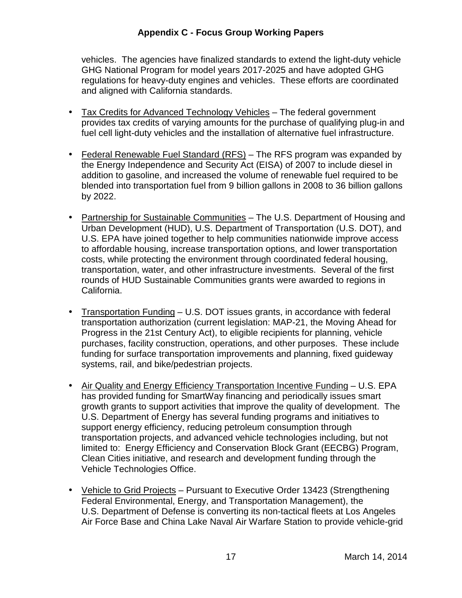vehicles. The agencies have finalized standards to extend the light-duty vehicle GHG National Program for model years 2017-2025 and have adopted GHG regulations for heavy-duty engines and vehicles. These efforts are coordinated and aligned with California standards.

- Tax Credits for Advanced Technology Vehicles The federal government provides tax credits of varying amounts for the purchase of qualifying plug-in and fuel cell light-duty vehicles and the installation of alternative fuel infrastructure.
- Federal Renewable Fuel Standard (RFS) The RFS program was expanded by the Energy Independence and Security Act (EISA) of 2007 to include diesel in addition to gasoline, and increased the volume of renewable fuel required to be blended into transportation fuel from 9 billion gallons in 2008 to 36 billion gallons by 2022.
- Partnership for Sustainable Communities The U.S. Department of Housing and Urban Development (HUD), U.S. Department of Transportation (U.S. DOT), and U.S. EPA have joined together to help communities nationwide improve access to affordable housing, increase transportation options, and lower transportation costs, while protecting the environment through coordinated federal housing, transportation, water, and other infrastructure investments. Several of the first rounds of HUD Sustainable Communities grants were awarded to regions in California.
- Transportation Funding U.S. DOT issues grants, in accordance with federal transportation authorization (current legislation: MAP-21, the Moving Ahead for Progress in the 21st Century Act), to eligible recipients for planning, vehicle purchases, facility construction, operations, and other purposes. These include funding for surface transportation improvements and planning, fixed guideway systems, rail, and bike/pedestrian projects.
- Air Quality and Energy Efficiency Transportation Incentive Funding U.S. EPA has provided funding for SmartWay financing and periodically issues smart growth grants to support activities that improve the quality of development. The U.S. Department of Energy has several funding programs and initiatives to support energy efficiency, reducing petroleum consumption through transportation projects, and advanced vehicle technologies including, but not limited to: Energy Efficiency and Conservation Block Grant (EECBG) Program, Clean Cities initiative, and research and development funding through the Vehicle Technologies Office.
- Vehicle to Grid Projects Pursuant to Executive Order 13423 (Strengthening Federal Environmental, Energy, and Transportation Management), the U.S. Department of Defense is converting its non-tactical fleets at Los Angeles Air Force Base and China Lake Naval Air Warfare Station to provide vehicle-grid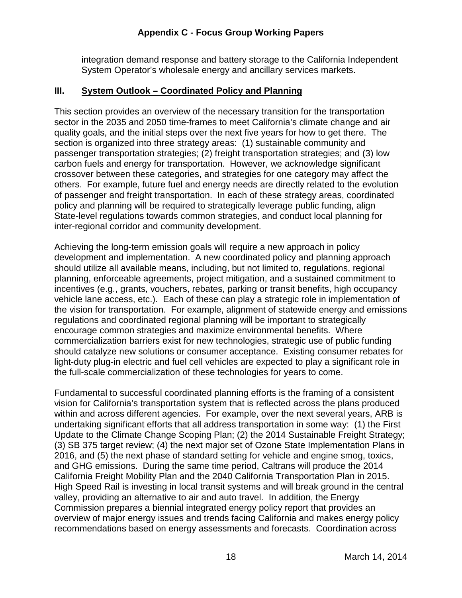integration demand response and battery storage to the California Independent System Operator's wholesale energy and ancillary services markets.

#### **III. System Outlook – Coordinated Policy and Planning**

 This section provides an overview of the necessary transition for the transportation sector in the 2035 and 2050 time-frames to meet California's climate change and air quality goals, and the initial steps over the next five years for how to get there. The section is organized into three strategy areas: (1) sustainable community and passenger transportation strategies; (2) freight transportation strategies; and (3) low carbon fuels and energy for transportation. However, we acknowledge significant crossover between these categories, and strategies for one category may affect the others. For example, future fuel and energy needs are directly related to the evolution of passenger and freight transportation. In each of these strategy areas, coordinated policy and planning will be required to strategically leverage public funding, align State-level regulations towards common strategies, and conduct local planning for inter-regional corridor and community development.

 Achieving the long-term emission goals will require a new approach in policy development and implementation. A new coordinated policy and planning approach should utilize all available means, including, but not limited to, regulations, regional planning, enforceable agreements, project mitigation, and a sustained commitment to incentives (e.g., grants, vouchers, rebates, parking or transit benefits, high occupancy vehicle lane access, etc.). Each of these can play a strategic role in implementation of the vision for transportation. For example, alignment of statewide energy and emissions regulations and coordinated regional planning will be important to strategically encourage common strategies and maximize environmental benefits. Where commercialization barriers exist for new technologies, strategic use of public funding should catalyze new solutions or consumer acceptance. Existing consumer rebates for light-duty plug-in electric and fuel cell vehicles are expected to play a significant role in the full-scale commercialization of these technologies for years to come.

 Fundamental to successful coordinated planning efforts is the framing of a consistent vision for California's transportation system that is reflected across the plans produced within and across different agencies. For example, over the next several years, ARB is undertaking significant efforts that all address transportation in some way: (1) the First Update to the Climate Change Scoping Plan; (2) the 2014 Sustainable Freight Strategy; (3) SB 375 target review; (4) the next major set of Ozone State Implementation Plans in 2016, and (5) the next phase of standard setting for vehicle and engine smog, toxics, and GHG emissions. During the same time period, Caltrans will produce the 2014 California Freight Mobility Plan and the 2040 California Transportation Plan in 2015. High Speed Rail is investing in local transit systems and will break ground in the central valley, providing an alternative to air and auto travel. In addition, the Energy Commission prepares a biennial integrated energy policy report that provides an overview of major energy issues and trends facing California and makes energy policy recommendations based on energy assessments and forecasts. Coordination across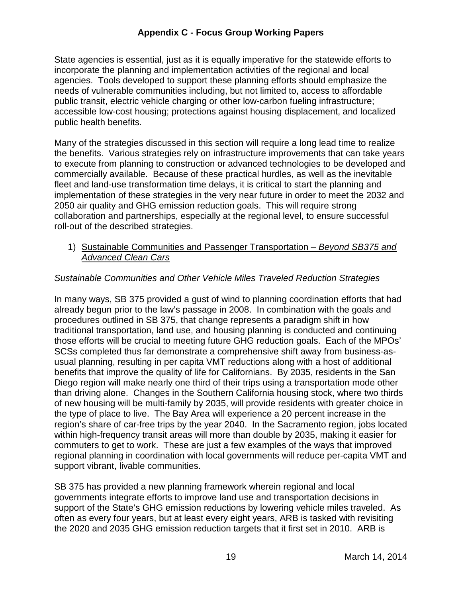State agencies is essential, just as it is equally imperative for the statewide efforts to incorporate the planning and implementation activities of the regional and local agencies. Tools developed to support these planning efforts should emphasize the needs of vulnerable communities including, but not limited to, access to affordable public transit, electric vehicle charging or other low-carbon fueling infrastructure; accessible low-cost housing; protections against housing displacement, and localized public health benefits.

 Many of the strategies discussed in this section will require a long lead time to realize the benefits. Various strategies rely on infrastructure improvements that can take years to execute from planning to construction or advanced technologies to be developed and commercially available. Because of these practical hurdles, as well as the inevitable fleet and land-use transformation time delays, it is critical to start the planning and implementation of these strategies in the very near future in order to meet the 2032 and 2050 air quality and GHG emission reduction goals. This will require strong collaboration and partnerships, especially at the regional level, to ensure successful roll-out of the described strategies.

#### 1) Sustainable Communities and Passenger Transportation - Beyond SB375 and **Advanced Clean Cars**

## Sustainable Communities and Other Vehicle Miles Traveled Reduction Strategies

 In many ways, SB 375 provided a gust of wind to planning coordination efforts that had already begun prior to the law's passage in 2008. In combination with the goals and procedures outlined in SB 375, that change represents a paradigm shift in how traditional transportation, land use, and housing planning is conducted and continuing those efforts will be crucial to meeting future GHG reduction goals. Each of the MPOs' SCSs completed thus far demonstrate a comprehensive shift away from business-as- usual planning, resulting in per capita VMT reductions along with a host of additional benefits that improve the quality of life for Californians. By 2035, residents in the San Diego region will make nearly one third of their trips using a transportation mode other than driving alone. Changes in the Southern California housing stock, where two thirds of new housing will be multi-family by 2035, will provide residents with greater choice in the type of place to live. The Bay Area will experience a 20 percent increase in the region's share of car-free trips by the year 2040. In the Sacramento region, jobs located within high-frequency transit areas will more than double by 2035, making it easier for commuters to get to work. These are just a few examples of the ways that improved regional planning in coordination with local governments will reduce per-capita VMT and support vibrant, livable communities.

 SB 375 has provided a new planning framework wherein regional and local governments integrate efforts to improve land use and transportation decisions in support of the State's GHG emission reductions by lowering vehicle miles traveled. As often as every four years, but at least every eight years, ARB is tasked with revisiting the 2020 and 2035 GHG emission reduction targets that it first set in 2010. ARB is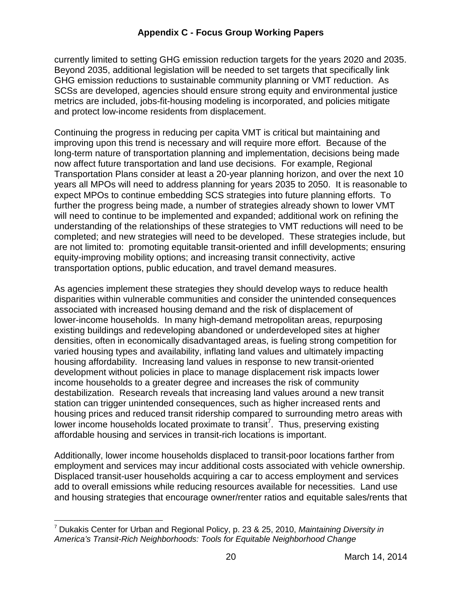currently limited to setting GHG emission reduction targets for the years 2020 and 2035. Beyond 2035, additional legislation will be needed to set targets that specifically link GHG emission reductions to sustainable community planning or VMT reduction. As SCSs are developed, agencies should ensure strong equity and environmental justice metrics are included, jobs-fit-housing modeling is incorporated, and policies mitigate and protect low-income residents from displacement.

 Continuing the progress in reducing per capita VMT is critical but maintaining and improving upon this trend is necessary and will require more effort. Because of the long-term nature of transportation planning and implementation, decisions being made now affect future transportation and land use decisions. For example, Regional Transportation Plans consider at least a 20-year planning horizon, and over the next 10 years all MPOs will need to address planning for years 2035 to 2050. It is reasonable to expect MPOs to continue embedding SCS strategies into future planning efforts. To further the progress being made, a number of strategies already shown to lower VMT will need to continue to be implemented and expanded; additional work on refining the understanding of the relationships of these strategies to VMT reductions will need to be completed; and new strategies will need to be developed. These strategies include, but are not limited to: promoting equitable transit-oriented and infill developments; ensuring equity-improving mobility options; and increasing transit connectivity, active transportation options, public education, and travel demand measures.

 As agencies implement these strategies they should develop ways to reduce health disparities within vulnerable communities and consider the unintended consequences associated with increased housing demand and the risk of displacement of lower-income households. In many high-demand metropolitan areas, repurposing existing buildings and redeveloping abandoned or underdeveloped sites at higher densities, often in economically disadvantaged areas, is fueling strong competition for varied housing types and availability, inflating land values and ultimately impacting housing affordability. Increasing land values in response to new transit-oriented development without policies in place to manage displacement risk impacts lower income households to a greater degree and increases the risk of community destabilization. Research reveals that increasing land values around a new transit station can trigger unintended consequences, such as higher increased rents and housing prices and reduced transit ridership compared to surrounding metro areas with lower income households located proximate to transit<sup>7</sup>. Thus, preserving existing affordable housing and services in transit-rich locations is important.

 Additionally, lower income households displaced to transit-poor locations farther from employment and services may incur additional costs associated with vehicle ownership. Displaced transit-user households acquiring a car to access employment and services add to overall emissions while reducing resources available for necessities. Land use and housing strategies that encourage owner/renter ratios and equitable sales/rents that

 $\overline{a}$ <sup>7</sup> Dukakis Center for Urban and Regional Policy, p. 23 & 25, 2010, Maintaining Diversity in America's Transit-Rich Neighborhoods: Tools for Equitable Neighborhood Change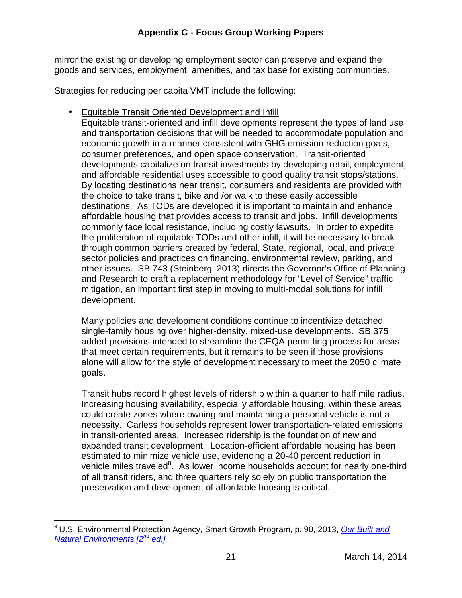mirror the existing or developing employment sector can preserve and expand the goods and services, employment, amenities, and tax base for existing communities.

Strategies for reducing per capita VMT include the following:

**• Equitable Transit Oriented Development and Infill** 

 Equitable transit-oriented and infill developments represent the types of land use and transportation decisions that will be needed to accommodate population and economic growth in a manner consistent with GHG emission reduction goals, consumer preferences, and open space conservation. Transit-oriented developments capitalize on transit investments by developing retail, employment, and affordable residential uses accessible to good quality transit stops/stations. By locating destinations near transit, consumers and residents are provided with the choice to take transit, bike and /or walk to these easily accessible destinations. As TODs are developed it is important to maintain and enhance affordable housing that provides access to transit and jobs. Infill developments commonly face local resistance, including costly lawsuits. In order to expedite the proliferation of equitable TODs and other infill, it will be necessary to break through common barriers created by federal, State, regional, local, and private sector policies and practices on financing, environmental review, parking, and other issues. SB 743 (Steinberg, 2013) directs the Governor's Office of Planning and Research to craft a replacement methodology for "Level of Service" traffic mitigation, an important first step in moving to multi-modal solutions for infill development.

 Many policies and development conditions continue to incentivize detached single-family housing over higher-density, mixed-use developments. SB 375 added provisions intended to streamline the CEQA permitting process for areas that meet certain requirements, but it remains to be seen if those provisions alone will allow for the style of development necessary to meet the 2050 climate goals.

goals.<br>Transit hubs record highest levels of ridership within a quarter to half mile radius. Increasing housing availability, especially affordable housing, within these areas could create zones where owning and maintaining a personal vehicle is not a necessity. Carless households represent lower transportation-related emissions in transit-oriented areas. Increased ridership is the foundation of new and expanded transit development. Location-efficient affordable housing has been estimated to minimize vehicle use, evidencing a 20-40 percent reduction in vehicle miles traveled<sup>8</sup>. As lower income households account for nearly one-third of all transit riders, and three quarters rely solely on public transportation the preservation and development of affordable housing is critical.

 $\overline{a}$ <sup>8</sup> U.S. Environmental Protection Agency, Smart Growth Program, p. 90, 2013, Our Built and Natural Environments [2<sup>nd</sup> ed.]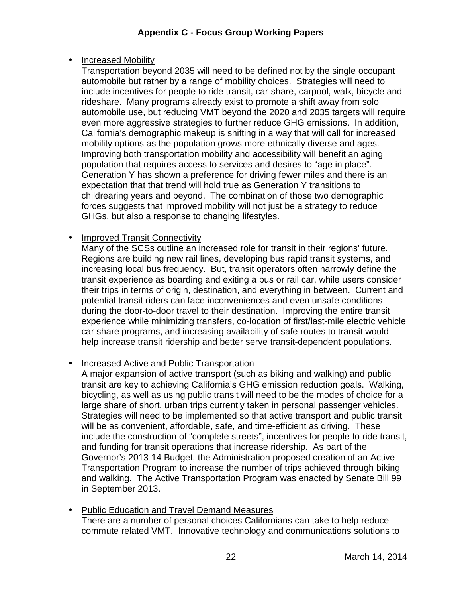# • **Increased Mobility**

 Transportation beyond 2035 will need to be defined not by the single occupant automobile but rather by a range of mobility choices. Strategies will need to include incentives for people to ride transit, car-share, carpool, walk, bicycle and rideshare. Many programs already exist to promote a shift away from solo automobile use, but reducing VMT beyond the 2020 and 2035 targets will require even more aggressive strategies to further reduce GHG emissions. In addition, California's demographic makeup is shifting in a way that will call for increased mobility options as the population grows more ethnically diverse and ages. Improving both transportation mobility and accessibility will benefit an aging population that requires access to services and desires to "age in place". Generation Y has shown a preference for driving fewer miles and there is an expectation that that trend will hold true as Generation Y transitions to childrearing years and beyond. The combination of those two demographic forces suggests that improved mobility will not just be a strategy to reduce GHGs, but also a response to changing lifestyles.

#### $\bullet$ • Improved Transit Connectivity

 Many of the SCSs outline an increased role for transit in their regions' future. Regions are building new rail lines, developing bus rapid transit systems, and increasing local bus frequency. But, transit operators often narrowly define the transit experience as boarding and exiting a bus or rail car, while users consider their trips in terms of origin, destination, and everything in between. Current and potential transit riders can face inconveniences and even unsafe conditions during the door-to-door travel to their destination. Improving the entire transit experience while minimizing transfers, co-location of first/last-mile electric vehicle car share programs, and increasing availability of safe routes to transit would help increase transit ridership and better serve transit-dependent populations.

## • Increased Active and Public Transportation

 A major expansion of active transport (such as biking and walking) and public transit are key to achieving California's GHG emission reduction goals. Walking, bicycling, as well as using public transit will need to be the modes of choice for a large share of short, urban trips currently taken in personal passenger vehicles. Strategies will need to be implemented so that active transport and public transit will be as convenient, affordable, safe, and time-efficient as driving. These include the construction of "complete streets", incentives for people to ride transit, and funding for transit operations that increase ridership. As part of the Governor's 2013-14 Budget, the Administration proposed creation of an Active Transportation Program to increase the number of trips achieved through biking and walking. The Active Transportation Program was enacted by Senate Bill 99 in September 2013.

• Public Education and Travel Demand Measures There are a number of personal choices Californians can take to help reduce commute related VMT. Innovative technology and communications solutions to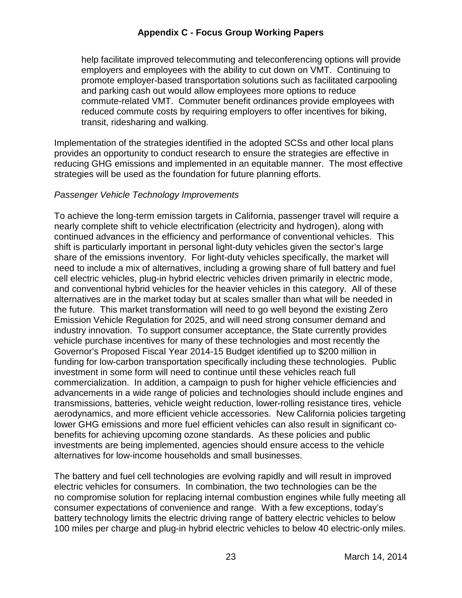help facilitate improved telecommuting and teleconferencing options will provide employers and employees with the ability to cut down on VMT. Continuing to promote employer-based transportation solutions such as facilitated carpooling and parking cash out would allow employees more options to reduce commute-related VMT. Commuter benefit ordinances provide employees with reduced commute costs by requiring employers to offer incentives for biking, transit, ridesharing and walking.

 Implementation of the strategies identified in the adopted SCSs and other local plans provides an opportunity to conduct research to ensure the strategies are effective in reducing GHG emissions and implemented in an equitable manner. The most effective strategies will be used as the foundation for future planning efforts.

#### Passenger Vehicle Technology Improvements

 To achieve the long-term emission targets in California, passenger travel will require a nearly complete shift to vehicle electrification (electricity and hydrogen), along with continued advances in the efficiency and performance of conventional vehicles. This shift is particularly important in personal light-duty vehicles given the sector's large share of the emissions inventory. For light-duty vehicles specifically, the market will need to include a mix of alternatives, including a growing share of full battery and fuel cell electric vehicles, plug-in hybrid electric vehicles driven primarily in electric mode, and conventional hybrid vehicles for the heavier vehicles in this category. All of these alternatives are in the market today but at scales smaller than what will be needed in the future. This market transformation will need to go well beyond the existing Zero Emission Vehicle Regulation for 2025, and will need strong consumer demand and industry innovation. To support consumer acceptance, the State currently provides vehicle purchase incentives for many of these technologies and most recently the Governor's Proposed Fiscal Year 2014-15 Budget identified up to \$200 million in funding for low-carbon transportation specifically including these technologies. Public investment in some form will need to continue until these vehicles reach full commercialization. In addition, a campaign to push for higher vehicle efficiencies and advancements in a wide range of policies and technologies should include engines and transmissions, batteries, vehicle weight reduction, lower-rolling resistance tires, vehicle aerodynamics, and more efficient vehicle accessories. New California policies targeting lower GHG emissions and more fuel efficient vehicles can also result in significant co- benefits for achieving upcoming ozone standards. As these policies and public investments are being implemented, agencies should ensure access to the vehicle alternatives for low-income households and small businesses.

 The battery and fuel cell technologies are evolving rapidly and will result in improved electric vehicles for consumers. In combination, the two technologies can be the no compromise solution for replacing internal combustion engines while fully meeting all consumer expectations of convenience and range. With a few exceptions, today's battery technology limits the electric driving range of battery electric vehicles to below 100 miles per charge and plug-in hybrid electric vehicles to below 40 electric-only miles.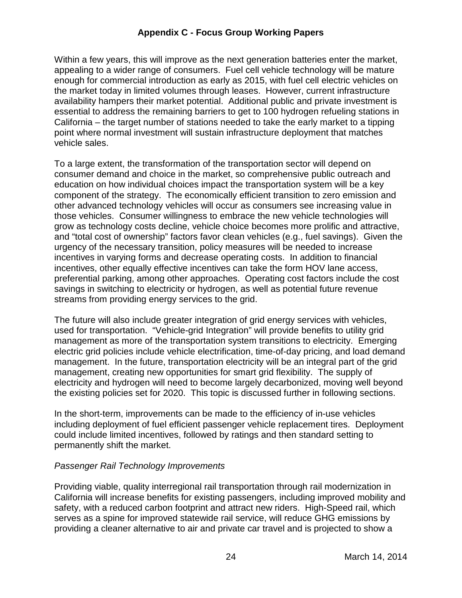Within a few years, this will improve as the next generation batteries enter the market, appealing to a wider range of consumers. Fuel cell vehicle technology will be mature enough for commercial introduction as early as 2015, with fuel cell electric vehicles on the market today in limited volumes through leases. However, current infrastructure availability hampers their market potential. Additional public and private investment is essential to address the remaining barriers to get to 100 hydrogen refueling stations in California – the target number of stations needed to take the early market to a tipping point where normal investment will sustain infrastructure deployment that matches vehicle sales.

 To a large extent, the transformation of the transportation sector will depend on consumer demand and choice in the market, so comprehensive public outreach and education on how individual choices impact the transportation system will be a key component of the strategy. The economically efficient transition to zero emission and other advanced technology vehicles will occur as consumers see increasing value in those vehicles. Consumer willingness to embrace the new vehicle technologies will grow as technology costs decline, vehicle choice becomes more prolific and attractive, and "total cost of ownership" factors favor clean vehicles (e.g., fuel savings). Given the urgency of the necessary transition, policy measures will be needed to increase incentives in varying forms and decrease operating costs. In addition to financial incentives, other equally effective incentives can take the form HOV lane access, preferential parking, among other approaches. Operating cost factors include the cost savings in switching to electricity or hydrogen, as well as potential future revenue streams from providing energy services to the grid.

 The future will also include greater integration of grid energy services with vehicles, used for transportation. "Vehicle-grid Integration" will provide benefits to utility grid management as more of the transportation system transitions to electricity. Emerging electric grid policies include vehicle electrification, time-of-day pricing, and load demand management. In the future, transportation electricity will be an integral part of the grid management, creating new opportunities for smart grid flexibility. The supply of electricity and hydrogen will need to become largely decarbonized, moving well beyond the existing policies set for 2020. This topic is discussed further in following sections.

 In the short-term, improvements can be made to the efficiency of in-use vehicles including deployment of fuel efficient passenger vehicle replacement tires. Deployment could include limited incentives, followed by ratings and then standard setting to permanently shift the market.

## Passenger Rail Technology Improvements

 Providing viable, quality interregional rail transportation through rail modernization in California will increase benefits for existing passengers, including improved mobility and safety, with a reduced carbon footprint and attract new riders. High-Speed rail, which serves as a spine for improved statewide rail service, will reduce GHG emissions by providing a cleaner alternative to air and private car travel and is projected to show a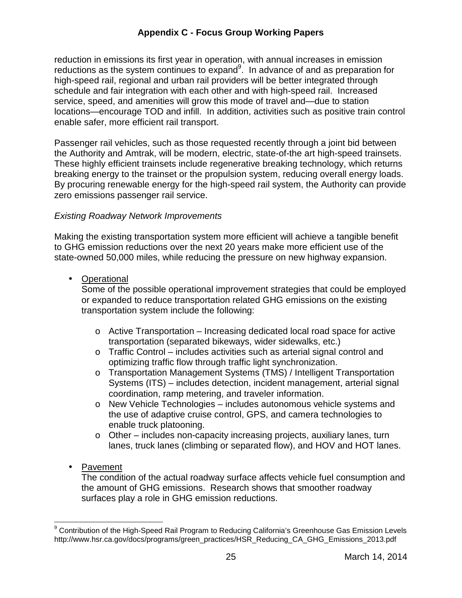reduction in emissions its first year in operation, with annual increases in emission reductions as the system continues to expand<sup>9</sup>. In advance of and as preparation for high-speed rail, regional and urban rail providers will be better integrated through schedule and fair integration with each other and with high-speed rail. Increased service, speed, and amenities will grow this mode of travel and—due to station locations—encourage TOD and infill. In addition, activities such as positive train control enable safer, more efficient rail transport.

 Passenger rail vehicles, such as those requested recently through a joint bid between the Authority and Amtrak, will be modern, electric, state-of-the art high-speed trainsets. These highly efficient trainsets include regenerative breaking technology, which returns breaking energy to the trainset or the propulsion system, reducing overall energy loads. By procuring renewable energy for the high-speed rail system, the Authority can provide zero emissions passenger rail service.

#### Existing Roadway Network Improvements

 Making the existing transportation system more efficient will achieve a tangible benefit to GHG emission reductions over the next 20 years make more efficient use of the state-owned 50,000 miles, while reducing the pressure on new highway expansion.

• Operational

• Operational Operational<br>Some of the possible operational improvement strategies that could be employed or expanded to reduce transportation related GHG emissions on the existing transportation system include the following:

- o Active Transportation Increasing dedicated local road space for active transportation (separated bikeways, wider sidewalks, etc.)
- o Traffic Control includes activities such as arterial signal control and optimizing traffic flow through traffic light synchronization.
- o Transportation Management Systems (TMS) / Intelligent Transportation Systems (ITS) – includes detection, incident management, arterial signal coordination, ramp metering, and traveler information.
- o New Vehicle Technologies includes autonomous vehicle systems and the use of adaptive cruise control, GPS, and camera technologies to enable truck platooning.
- o Other includes non-capacity increasing projects, auxiliary lanes, turn lanes, truck lanes (climbing or separated flow), and HOV and HOT lanes.
- Pavement

l

• Pavement<br>The condition of the actual roadway surface affects vehicle fuel consumption and the amount of GHG emissions. Research shows that smoother roadway surfaces play a role in GHG emission reductions.

 $9$  Contribution of the High-Speed Rail Program to Reducing California's Greenhouse Gas Emission Levels [http://www.hsr.ca.gov/docs/programs/green\\_practices/HSR\\_Reducing\\_CA\\_GHG\\_Emissions\\_2013.pdf](http://www.hsr.ca.gov/docs/programs/green_practices/HSR_Reducing_CA_GHG_Emissions_2013.pdf)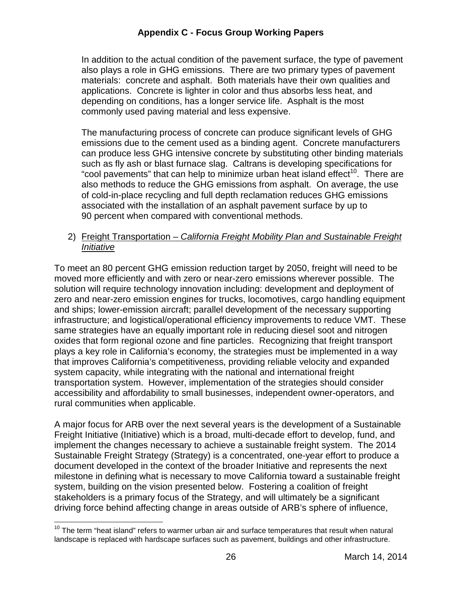In addition to the actual condition of the pavement surface, the type of pavement also plays a role in GHG emissions. There are two primary types of pavement materials: concrete and asphalt. Both materials have their own qualities and applications. Concrete is lighter in color and thus absorbs less heat, and depending on conditions, has a longer service life. Asphalt is the most commonly used paving material and less expensive.

 The manufacturing process of concrete can produce significant levels of GHG emissions due to the cement used as a binding agent. Concrete manufacturers can produce less GHG intensive concrete by substituting other binding materials such as fly ash or blast furnace slag. Caltrans is developing specifications for "cool pavements" that can help to minimize urban heat island effect<sup>10</sup>. There are also methods to reduce the GHG emissions from asphalt. On average, the use of cold-in-place recycling and full depth reclamation reduces GHG emissions associated with the installation of an asphalt pavement surface by up to 90 percent when compared with conventional methods.

2) Freight Transportation - California Freight Mobility Plan and Sustainable Freight Initiative

 To meet an 80 percent GHG emission reduction target by 2050, freight will need to be moved more efficiently and with zero or near-zero emissions wherever possible. The solution will require technology innovation including: development and deployment of zero and near-zero emission engines for trucks, locomotives, cargo handling equipment and ships; lower-emission aircraft; parallel development of the necessary supporting infrastructure; and logistical/operational efficiency improvements to reduce VMT. These same strategies have an equally important role in reducing diesel soot and nitrogen oxides that form regional ozone and fine particles. Recognizing that freight transport plays a key role in California's economy, the strategies must be implemented in a way that improves California's competitiveness, providing reliable velocity and expanded system capacity, while integrating with the national and international freight transportation system. However, implementation of the strategies should consider accessibility and affordability to small businesses, independent owner-operators, and rural communities when applicable.

 A major focus for ARB over the next several years is the development of a Sustainable Freight Initiative (Initiative) which is a broad, multi-decade effort to develop, fund, and implement the changes necessary to achieve a sustainable freight system. The 2014 Sustainable Freight Strategy (Strategy) is a concentrated, one-year effort to produce a document developed in the context of the broader Initiative and represents the next milestone in defining what is necessary to move California toward a sustainable freight system, building on the vision presented below. Fostering a coalition of freight stakeholders is a primary focus of the Strategy, and will ultimately be a significant driving force behind affecting change in areas outside of ARB's sphere of influence,

l

 $10$  The term "heat island" refers to warmer urban air and surface temperatures that result when natural landscape is replaced with hardscape surfaces such as pavement, buildings and other infrastructure.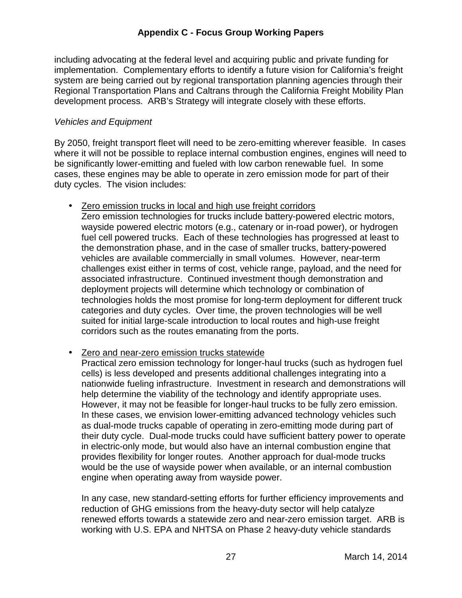including advocating at the federal level and acquiring public and private funding for implementation. Complementary efforts to identify a future vision for California's freight system are being carried out by regional transportation planning agencies through their Regional Transportation Plans and Caltrans through the California Freight Mobility Plan development process. ARB's Strategy will integrate closely with these efforts.

#### Vehicles and Equipment

 By 2050, freight transport fleet will need to be zero-emitting wherever feasible. In cases where it will not be possible to replace internal combustion engines, engines will need to be significantly lower-emitting and fueled with low carbon renewable fuel. In some cases, these engines may be able to operate in zero emission mode for part of their duty cycles. The vision includes:

• Zero emission trucks in local and high use freight corridors

 Zero emission technologies for trucks include battery-powered electric motors, wayside powered electric motors (e.g., catenary or in-road power), or hydrogen fuel cell powered trucks. Each of these technologies has progressed at least to the demonstration phase, and in the case of smaller trucks, battery-powered vehicles are available commercially in small volumes. However, near-term challenges exist either in terms of cost, vehicle range, payload, and the need for associated infrastructure. Continued investment though demonstration and deployment projects will determine which technology or combination of technologies holds the most promise for long-term deployment for different truck categories and duty cycles. Over time, the proven technologies will be well suited for initial large-scale introduction to local routes and high-use freight corridors such as the routes emanating from the ports.

• **Zero and near-zero emission trucks statewide** 

 Practical zero emission technology for longer-haul trucks (such as hydrogen fuel cells) is less developed and presents additional challenges integrating into a nationwide fueling infrastructure. Investment in research and demonstrations will help determine the viability of the technology and identify appropriate uses. However, it may not be feasible for longer-haul trucks to be fully zero emission. In these cases, we envision lower-emitting advanced technology vehicles such as dual-mode trucks capable of operating in zero-emitting mode during part of their duty cycle. Dual-mode trucks could have sufficient battery power to operate in electric-only mode, but would also have an internal combustion engine that provides flexibility for longer routes. Another approach for dual-mode trucks would be the use of wayside power when available, or an internal combustion engine when operating away from wayside power.

 In any case, new standard-setting efforts for further efficiency improvements and reduction of GHG emissions from the heavy-duty sector will help catalyze renewed efforts towards a statewide zero and near-zero emission target. ARB is working with U.S. EPA and NHTSA on Phase 2 heavy-duty vehicle standards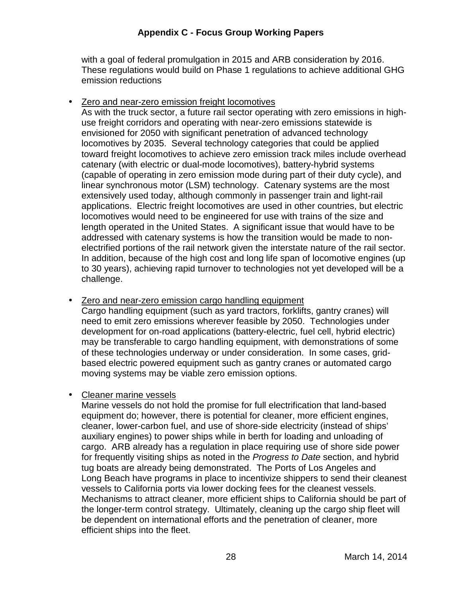with a goal of federal promulgation in 2015 and ARB consideration by 2016. These regulations would build on Phase 1 regulations to achieve additional GHG emission reductions

• Zero and near-zero emission freight locomotives

 As with the truck sector, a future rail sector operating with zero emissions in high- use freight corridors and operating with near-zero emissions statewide is envisioned for 2050 with significant penetration of advanced technology locomotives by 2035. Several technology categories that could be applied toward freight locomotives to achieve zero emission track miles include overhead catenary (with electric or dual-mode locomotives), battery-hybrid systems (capable of operating in zero emission mode during part of their duty cycle), and linear synchronous motor (LSM) technology. Catenary systems are the most extensively used today, although commonly in passenger train and light-rail applications. Electric freight locomotives are used in other countries, but electric locomotives would need to be engineered for use with trains of the size and length operated in the United States. A significant issue that would have to be addressed with catenary systems is how the transition would be made to non- electrified portions of the rail network given the interstate nature of the rail sector. In addition, because of the high cost and long life span of locomotive engines (up to 30 years), achieving rapid turnover to technologies not yet developed will be a challenge.

 • Zero and near-zero emission cargo handling equipment Cargo handling equipment (such as yard tractors, forklifts, gantry cranes) will need to emit zero emissions wherever feasible by 2050. Technologies under development for on-road applications (battery-electric, fuel cell, hybrid electric) may be transferable to cargo handling equipment, with demonstrations of some of these technologies underway or under consideration. In some cases, grid- based electric powered equipment such as gantry cranes or automated cargo moving systems may be viable zero emission options.

## • Cleaner marine vessels

 Marine vessels do not hold the promise for full electrification that land-based equipment do; however, there is potential for cleaner, more efficient engines, cleaner, lower-carbon fuel, and use of shore-side electricity (instead of ships' auxiliary engines) to power ships while in berth for loading and unloading of cargo. ARB already has a regulation in place requiring use of shore side power for frequently visiting ships as noted in the Progress to Date section, and hybrid tug boats are already being demonstrated. The Ports of Los Angeles and Long Beach have programs in place to incentivize shippers to send their cleanest vessels to California ports via lower docking fees for the cleanest vessels. Mechanisms to attract cleaner, more efficient ships to California should be part of the longer-term control strategy. Ultimately, cleaning up the cargo ship fleet will be dependent on international efforts and the penetration of cleaner, more efficient ships into the fleet.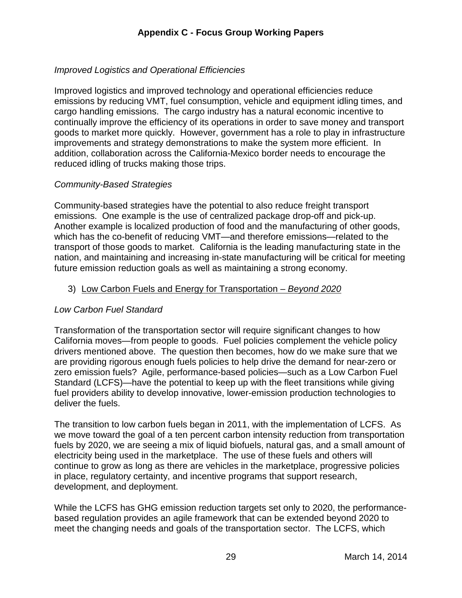# Improved Logistics and Operational Efficiencies

 Improved logistics and improved technology and operational efficiencies reduce emissions by reducing VMT, fuel consumption, vehicle and equipment idling times, and cargo handling emissions. The cargo industry has a natural economic incentive to continually improve the efficiency of its operations in order to save money and transport goods to market more quickly. However, government has a role to play in infrastructure improvements and strategy demonstrations to make the system more efficient. In addition, collaboration across the California-Mexico border needs to encourage the reduced idling of trucks making those trips.

## Community-Based Strategies

 Community-based strategies have the potential to also reduce freight transport emissions. One example is the use of centralized package drop-off and pick-up. Another example is localized production of food and the manufacturing of other goods, which has the co-benefit of reducing VMT—and therefore emissions—related to the transport of those goods to market. California is the leading manufacturing state in the nation, and maintaining and increasing in-state manufacturing will be critical for meeting future emission reduction goals as well as maintaining a strong economy.

## 3) Low Carbon Fuels and Energy for Transportation - Beyond 2020

#### Low Carbon Fuel Standard

 Transformation of the transportation sector will require significant changes to how California moves—from people to goods. Fuel policies complement the vehicle policy drivers mentioned above. The question then becomes, how do we make sure that we are providing rigorous enough fuels policies to help drive the demand for near-zero or zero emission fuels? Agile, performance-based policies—such as a Low Carbon Fuel Standard (LCFS)—have the potential to keep up with the fleet transitions while giving fuel providers ability to develop innovative, lower-emission production technologies to deliver the fuels.

 The transition to low carbon fuels began in 2011, with the implementation of LCFS. As we move toward the goal of a ten percent carbon intensity reduction from transportation fuels by 2020, we are seeing a mix of liquid biofuels, natural gas, and a small amount of electricity being used in the marketplace. The use of these fuels and others will continue to grow as long as there are vehicles in the marketplace, progressive policies in place, regulatory certainty, and incentive programs that support research, development, and deployment.

 While the LCFS has GHG emission reduction targets set only to 2020, the performance- based regulation provides an agile framework that can be extended beyond 2020 to meet the changing needs and goals of the transportation sector. The LCFS, which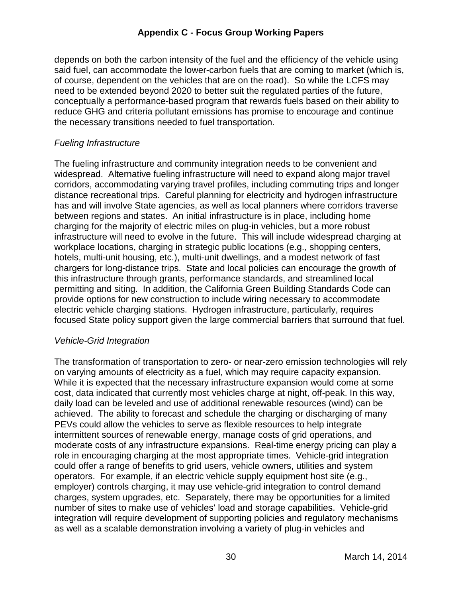depends on both the carbon intensity of the fuel and the efficiency of the vehicle using said fuel, can accommodate the lower-carbon fuels that are coming to market (which is, of course, dependent on the vehicles that are on the road). So while the LCFS may need to be extended beyond 2020 to better suit the regulated parties of the future, conceptually a performance-based program that rewards fuels based on their ability to reduce GHG and criteria pollutant emissions has promise to encourage and continue the necessary transitions needed to fuel transportation.

#### Fueling Infrastructure

 The fueling infrastructure and community integration needs to be convenient and widespread. Alternative fueling infrastructure will need to expand along major travel corridors, accommodating varying travel profiles, including commuting trips and longer distance recreational trips. Careful planning for electricity and hydrogen infrastructure has and will involve State agencies, as well as local planners where corridors traverse between regions and states. An initial infrastructure is in place, including home charging for the majority of electric miles on plug-in vehicles, but a more robust infrastructure will need to evolve in the future. This will include widespread charging at workplace locations, charging in strategic public locations (e.g., shopping centers, hotels, multi-unit housing, etc.), multi-unit dwellings, and a modest network of fast chargers for long-distance trips. State and local policies can encourage the growth of this infrastructure through grants, performance standards, and streamlined local permitting and siting. In addition, the California Green Building Standards Code can provide options for new construction to include wiring necessary to accommodate electric vehicle charging stations. Hydrogen infrastructure, particularly, requires focused State policy support given the large commercial barriers that surround that fuel.

#### Vehicle-Grid Integration

 The transformation of transportation to zero- or near-zero emission technologies will rely on varying amounts of electricity as a fuel, which may require capacity expansion. While it is expected that the necessary infrastructure expansion would come at some cost, data indicated that currently most vehicles charge at night, off-peak. In this way, daily load can be leveled and use of additional renewable resources (wind) can be achieved. The ability to forecast and schedule the charging or discharging of many PEVs could allow the vehicles to serve as flexible resources to help integrate intermittent sources of renewable energy, manage costs of grid operations, and moderate costs of any infrastructure expansions. Real-time energy pricing can play a role in encouraging charging at the most appropriate times. Vehicle-grid integration could offer a range of benefits to grid users, vehicle owners, utilities and system operators. For example, if an electric vehicle supply equipment host site (e.g., employer) controls charging, it may use vehicle-grid integration to control demand charges, system upgrades, etc. Separately, there may be opportunities for a limited number of sites to make use of vehicles' load and storage capabilities. Vehicle-grid integration will require development of supporting policies and regulatory mechanisms as well as a scalable demonstration involving a variety of plug-in vehicles and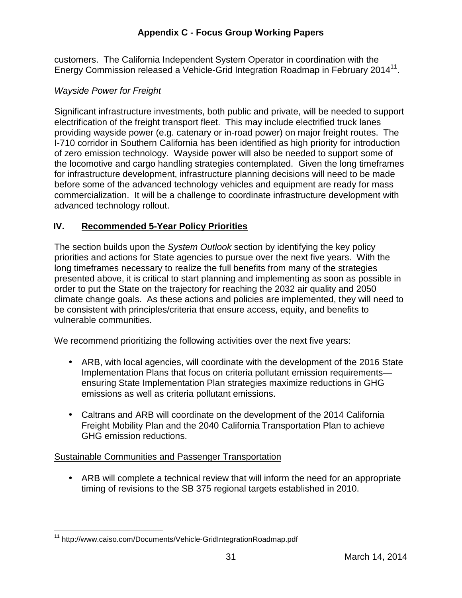customers. The California Independent System Operator in coordination with the Energy Commission released a Vehicle-Grid Integration Roadmap in February 2014 $^{11}$ .

#### Wayside Power for Freight

 Significant infrastructure investments, both public and private, will be needed to support electrification of the freight transport fleet. This may include electrified truck lanes providing wayside power (e.g. catenary or in-road power) on major freight routes. The I-710 corridor in Southern California has been identified as high priority for introduction of zero emission technology. Wayside power will also be needed to support some of the locomotive and cargo handling strategies contemplated. Given the long timeframes for infrastructure development, infrastructure planning decisions will need to be made before some of the advanced technology vehicles and equipment are ready for mass commercialization. It will be a challenge to coordinate infrastructure development with advanced technology rollout.

## **IV. Recommended 5-Year Policy Priorities**

The section builds upon the System Outlook section by identifying the key policy priorities and actions for State agencies to pursue over the next five years. With the long timeframes necessary to realize the full benefits from many of the strategies presented above, it is critical to start planning and implementing as soon as possible in order to put the State on the trajectory for reaching the 2032 air quality and 2050 climate change goals. As these actions and policies are implemented, they will need to be consistent with principles/criteria that ensure access, equity, and benefits to vulnerable communities.

vulnerable communities.<br>We recommend prioritizing the following activities over the next five years:

- • ARB, with local agencies, will coordinate with the development of the 2016 State Implementation Plans that focus on criteria pollutant emission requirements— ensuring State Implementation Plan strategies maximize reductions in GHG emissions as well as criteria pollutant emissions.
- • Caltrans and ARB will coordinate on the development of the 2014 California Freight Mobility Plan and the 2040 California Transportation Plan to achieve GHG emission reductions.

#### Sustainable Communities and Passenger Transportation

 • ARB will complete a technical review that will inform the need for an appropriate timing of revisions to the SB 375 regional targets established in 2010.

 $\overline{\phantom{a}}$ <sup>11</sup> http://www.caiso.com/Documents/Vehicle-GridIntegrationRoadmap.pdf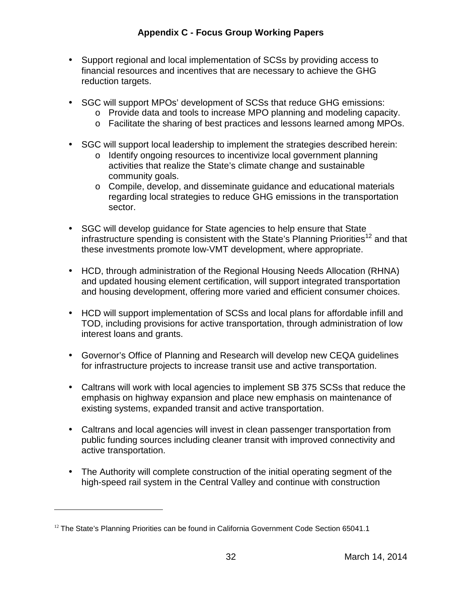- • Support regional and local implementation of SCSs by providing access to financial resources and incentives that are necessary to achieve the GHG reduction targets.
- • SGC will support MPOs' development of SCSs that reduce GHG emissions:
	- o Provide data and tools to increase MPO planning and modeling capacity.
		- o Facilitate the sharing of best practices and lessons learned among MPOs.
- • SGC will support local leadership to implement the strategies described herein:
	- o Identify ongoing resources to incentivize local government planning activities that realize the State's climate change and sustainable community goals.
	- o Compile, develop, and disseminate guidance and educational materials regarding local strategies to reduce GHG emissions in the transportation sector.
- • SGC will develop guidance for State agencies to help ensure that State infrastructure spending is consistent with the State's Planning Priorities<sup>12</sup> and that these investments promote low-VMT development, where appropriate.
- • HCD, through administration of the Regional Housing Needs Allocation (RHNA) and updated housing element certification, will support integrated transportation and housing development, offering more varied and efficient consumer choices.
- • HCD will support implementation of SCSs and local plans for affordable infill and TOD, including provisions for active transportation, through administration of low interest loans and grants.
- • Governor's Office of Planning and Research will develop new CEQA guidelines for infrastructure projects to increase transit use and active transportation.
- • Caltrans will work with local agencies to implement SB 375 SCSs that reduce the emphasis on highway expansion and place new emphasis on maintenance of existing systems, expanded transit and active transportation.
- • Caltrans and local agencies will invest in clean passenger transportation from public funding sources including cleaner transit with improved connectivity and active transportation.
- • The Authority will complete construction of the initial operating segment of the high-speed rail system in the Central Valley and continue with construction

 $\overline{a}$ 

 $12$  The State's Planning Priorities can be found in California Government Code Section 65041.1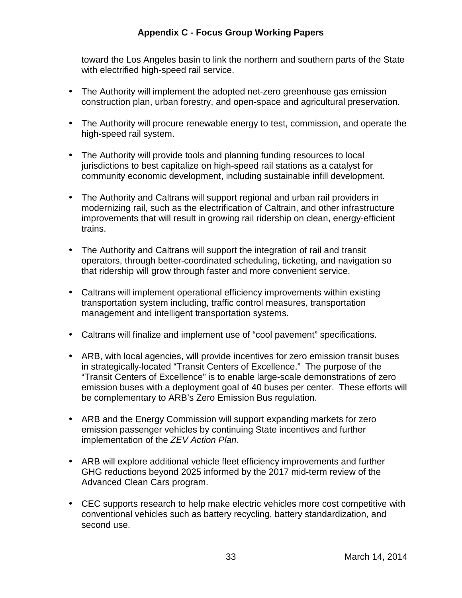toward the Los Angeles basin to link the northern and southern parts of the State with electrified high-speed rail service.

- • The Authority will implement the adopted net-zero greenhouse gas emission construction plan, urban forestry, and open-space and agricultural preservation.
- • The Authority will procure renewable energy to test, commission, and operate the high-speed rail system.
- • The Authority will provide tools and planning funding resources to local jurisdictions to best capitalize on high-speed rail stations as a catalyst for community economic development, including sustainable infill development.
- • The Authority and Caltrans will support regional and urban rail providers in modernizing rail, such as the electrification of Caltrain, and other infrastructure improvements that will result in growing rail ridership on clean, energy-efficient trains.
- • The Authority and Caltrans will support the integration of rail and transit operators, through better-coordinated scheduling, ticketing, and navigation so that ridership will grow through faster and more convenient service.
- • Caltrans will implement operational efficiency improvements within existing transportation system including, traffic control measures, transportation management and intelligent transportation systems.
- Caltrans will finalize and implement use of "cool pavement" specifications.
- • ARB, with local agencies, will provide incentives for zero emission transit buses in strategically-located "Transit Centers of Excellence." The purpose of the "Transit Centers of Excellence" is to enable large-scale demonstrations of zero emission buses with a deployment goal of 40 buses per center. These efforts will be complementary to ARB's Zero Emission Bus regulation.
- • ARB and the Energy Commission will support expanding markets for zero emission passenger vehicles by continuing State incentives and further implementation of the ZEV Action Plan.
- • ARB will explore additional vehicle fleet efficiency improvements and further GHG reductions beyond 2025 informed by the 2017 mid-term review of the Advanced Clean Cars program.
- • CEC supports research to help make electric vehicles more cost competitive with conventional vehicles such as battery recycling, battery standardization, and second use.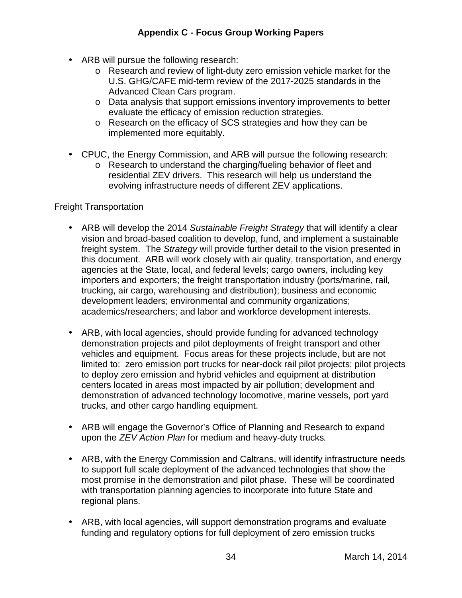- • ARB will pursue the following research:
	- o Research and review of light-duty zero emission vehicle market for the U.S. GHG/CAFE mid-term review of the 2017-2025 standards in the Advanced Clean Cars program.
	- o Data analysis that support emissions inventory improvements to better evaluate the efficacy of emission reduction strategies.
	- o Research on the efficacy of SCS strategies and how they can be implemented more equitably.
- • CPUC, the Energy Commission, and ARB will pursue the following research:
	- o Research to understand the charging/fueling behavior of fleet and residential ZEV drivers. This research will help us understand the evolving infrastructure needs of different ZEV applications.

#### Freight Transportation

- ARB will develop the 2014 Sustainable Freight Strategy that will identify a clear vision and broad-based coalition to develop, fund, and implement a sustainable freight system. The Strategy will provide further detail to the vision presented in this document. ARB will work closely with air quality, transportation, and energy agencies at the State, local, and federal levels; cargo owners, including key importers and exporters; the freight transportation industry (ports/marine, rail, trucking, air cargo, warehousing and distribution); business and economic development leaders; environmental and community organizations; academics/researchers; and labor and workforce development interests.
- • ARB, with local agencies, should provide funding for advanced technology demonstration projects and pilot deployments of freight transport and other vehicles and equipment. Focus areas for these projects include, but are not limited to: zero emission port trucks for near-dock rail pilot projects; pilot projects to deploy zero emission and hybrid vehicles and equipment at distribution centers located in areas most impacted by air pollution; development and demonstration of advanced technology locomotive, marine vessels, port yard trucks, and other cargo handling equipment.
- • ARB will engage the Governor's Office of Planning and Research to expand upon the ZEV Action Plan for medium and heavy-duty trucks.
- • ARB, with the Energy Commission and Caltrans, will identify infrastructure needs to support full scale deployment of the advanced technologies that show the most promise in the demonstration and pilot phase. These will be coordinated with transportation planning agencies to incorporate into future State and regional plans.
- • ARB, with local agencies, will support demonstration programs and evaluate funding and regulatory options for full deployment of zero emission trucks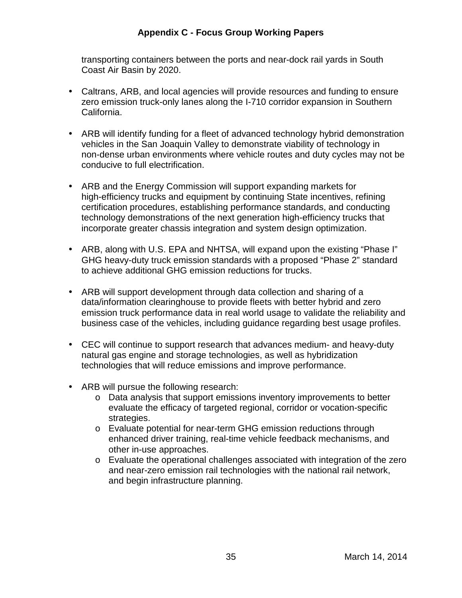transporting containers between the ports and near-dock rail yards in South Coast Air Basin by 2020.

- • Caltrans, ARB, and local agencies will provide resources and funding to ensure zero emission truck-only lanes along the I-710 corridor expansion in Southern California.
- • ARB will identify funding for a fleet of advanced technology hybrid demonstration vehicles in the San Joaquin Valley to demonstrate viability of technology in non-dense urban environments where vehicle routes and duty cycles may not be conducive to full electrification.
- • ARB and the Energy Commission will support expanding markets for high-efficiency trucks and equipment by continuing State incentives, refining certification procedures, establishing performance standards, and conducting technology demonstrations of the next generation high-efficiency trucks that incorporate greater chassis integration and system design optimization.
- • ARB, along with U.S. EPA and NHTSA, will expand upon the existing "Phase I" GHG heavy-duty truck emission standards with a proposed "Phase 2" standard to achieve additional GHG emission reductions for trucks.
- • ARB will support development through data collection and sharing of a data/information clearinghouse to provide fleets with better hybrid and zero emission truck performance data in real world usage to validate the reliability and business case of the vehicles, including guidance regarding best usage profiles.
- • CEC will continue to support research that advances medium- and heavy-duty natural gas engine and storage technologies, as well as hybridization technologies that will reduce emissions and improve performance.
- • ARB will pursue the following research:
	- o Data analysis that support emissions inventory improvements to better evaluate the efficacy of targeted regional, corridor or vocation-specific strategies.
	- o Evaluate potential for near-term GHG emission reductions through enhanced driver training, real-time vehicle feedback mechanisms, and other in-use approaches.
	- o Evaluate the operational challenges associated with integration of the zero and near-zero emission rail technologies with the national rail network, and begin infrastructure planning.